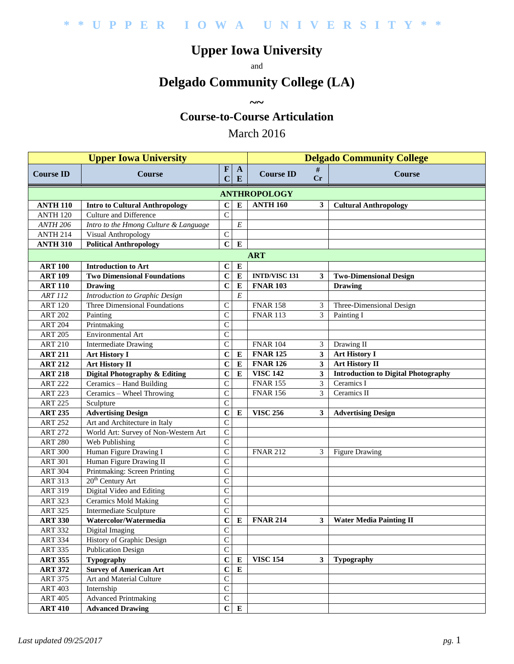# **Upper Iowa University**

and

# **Delgado Community College (LA)**

**~~**

#### **Course-to-Course Articulation**

#### March 2016

|                     |                                       | <b>Delgado Community College</b> |                           |                      |                         |                                            |  |  |  |  |  |  |
|---------------------|---------------------------------------|----------------------------------|---------------------------|----------------------|-------------------------|--------------------------------------------|--|--|--|--|--|--|
| <b>Course ID</b>    | <b>Course</b>                         | $\mathbf{F}$<br>$\mathbf C$      | $\mathbf{A}$<br>${\bf E}$ | <b>Course ID</b>     | #<br>Cr                 | <b>Course</b>                              |  |  |  |  |  |  |
|                     | <b>ANTHROPOLOGY</b>                   |                                  |                           |                      |                         |                                            |  |  |  |  |  |  |
| <b>ANTH 110</b>     | <b>Intro to Cultural Anthropology</b> | $\mathbf C$                      | E                         | <b>ANTH 160</b>      | $\mathbf{3}$            | <b>Cultural Anthropology</b>               |  |  |  |  |  |  |
| ANTH <sub>120</sub> | Culture and Difference                | $\overline{C}$                   |                           |                      |                         |                                            |  |  |  |  |  |  |
| <b>ANTH 206</b>     | Intro to the Hmong Culture & Language |                                  | E                         |                      |                         |                                            |  |  |  |  |  |  |
| <b>ANTH 214</b>     | Visual Anthropology                   | $\mathsf{C}$                     |                           |                      |                         |                                            |  |  |  |  |  |  |
| <b>ANTH 310</b>     | <b>Political Anthropology</b>         | $\mathbf C$                      | $\bf{E}$                  |                      |                         |                                            |  |  |  |  |  |  |
| <b>ART</b>          |                                       |                                  |                           |                      |                         |                                            |  |  |  |  |  |  |
| <b>ART 100</b>      | <b>Introduction to Art</b>            | $\bf C$                          | E                         |                      |                         |                                            |  |  |  |  |  |  |
| <b>ART 109</b>      | <b>Two Dimensional Foundations</b>    | $\mathbf C$                      | ${\bf E}$                 | <b>INTD/VISC 131</b> | 3                       | <b>Two-Dimensional Design</b>              |  |  |  |  |  |  |
| <b>ART 110</b>      | <b>Drawing</b>                        | $\mathbf C$                      | ${\bf E}$                 | <b>FNAR 103</b>      |                         | <b>Drawing</b>                             |  |  |  |  |  |  |
| <b>ART 112</b>      | Introduction to Graphic Design        |                                  | $\cal E$                  |                      |                         |                                            |  |  |  |  |  |  |
| <b>ART 120</b>      | Three Dimensional Foundations         | $\mathsf{C}$                     |                           | <b>FNAR 158</b>      | 3                       | Three-Dimensional Design                   |  |  |  |  |  |  |
| <b>ART 202</b>      | Painting                              | $\mathbf C$                      |                           | <b>FNAR 113</b>      | 3                       | Painting I                                 |  |  |  |  |  |  |
| <b>ART 204</b>      | Printmaking                           | $\mathsf{C}$                     |                           |                      |                         |                                            |  |  |  |  |  |  |
| <b>ART 205</b>      | Environmental Art                     | $\mathsf C$                      |                           |                      |                         |                                            |  |  |  |  |  |  |
| <b>ART 210</b>      | <b>Intermediate Drawing</b>           | $\mathsf C$                      |                           | <b>FNAR 104</b>      | 3                       | Drawing II                                 |  |  |  |  |  |  |
| <b>ART 211</b>      | <b>Art History I</b>                  | $\mathbf C$                      | $\bf{E}$                  | <b>FNAR 125</b>      | $\overline{\mathbf{3}}$ | <b>Art History I</b>                       |  |  |  |  |  |  |
| <b>ART 212</b>      | <b>Art History II</b>                 | $\mathbf C$                      | ${\bf E}$                 | <b>FNAR 126</b>      | 3                       | Art History II                             |  |  |  |  |  |  |
| <b>ART 218</b>      | Digital Photography & Editing         | $\mathbf C$                      | ${\bf E}$                 | <b>VISC 142</b>      | $\mathbf{3}$            | <b>Introduction to Digital Photography</b> |  |  |  |  |  |  |
| <b>ART 222</b>      | Ceramics - Hand Building              | $\mathsf{C}$                     |                           | <b>FNAR 155</b>      | 3                       | Ceramics I                                 |  |  |  |  |  |  |
| <b>ART 223</b>      | Ceramics - Wheel Throwing             | $\mathsf{C}$                     |                           | <b>FNAR 156</b>      | 3                       | Ceramics II                                |  |  |  |  |  |  |
| <b>ART 225</b>      | Sculpture                             | $\mathsf{C}$                     |                           |                      |                         |                                            |  |  |  |  |  |  |
| <b>ART 235</b>      | <b>Advertising Design</b>             | $\mathbf C$                      | E                         | <b>VISC 256</b>      | 3                       | <b>Advertising Design</b>                  |  |  |  |  |  |  |
| <b>ART 252</b>      | Art and Architecture in Italy         | $\mathsf{C}$                     |                           |                      |                         |                                            |  |  |  |  |  |  |
| <b>ART 272</b>      | World Art: Survey of Non-Western Art  | $\mathsf{C}$                     |                           |                      |                         |                                            |  |  |  |  |  |  |
| <b>ART 280</b>      | Web Publishing                        | $\mathcal{C}$                    |                           |                      |                         |                                            |  |  |  |  |  |  |
| <b>ART 300</b>      | Human Figure Drawing I                | $\mathsf{C}$                     |                           | <b>FNAR 212</b>      | 3                       | <b>Figure Drawing</b>                      |  |  |  |  |  |  |
| <b>ART 301</b>      | Human Figure Drawing II               | $\mathbf C$                      |                           |                      |                         |                                            |  |  |  |  |  |  |
| <b>ART 304</b>      | Printmaking: Screen Printing          | $\mathbf C$                      |                           |                      |                         |                                            |  |  |  |  |  |  |
| <b>ART 313</b>      | $20th$ Century Art                    | $\mathbf C$                      |                           |                      |                         |                                            |  |  |  |  |  |  |
| <b>ART 319</b>      | Digital Video and Editing             | $\mathsf{C}$                     |                           |                      |                         |                                            |  |  |  |  |  |  |
| <b>ART 323</b>      | <b>Ceramics Mold Making</b>           | $\overline{C}$                   |                           |                      |                         |                                            |  |  |  |  |  |  |
| <b>ART 325</b>      | Intermediate Sculpture                | $\mathsf{C}$                     |                           |                      |                         |                                            |  |  |  |  |  |  |
| <b>ART 330</b>      | Watercolor/Watermedia                 | $\mathbf C$                      | ${\bf E}$                 | <b>FNAR 214</b>      | 3                       | <b>Water Media Painting II</b>             |  |  |  |  |  |  |
| <b>ART 332</b>      | Digital Imaging                       | $\mathbf C$                      |                           |                      |                         |                                            |  |  |  |  |  |  |
| <b>ART 334</b>      | History of Graphic Design             | $\overline{C}$                   |                           |                      |                         |                                            |  |  |  |  |  |  |
| <b>ART 335</b>      | <b>Publication Design</b>             | $\mathsf C$                      |                           |                      |                         |                                            |  |  |  |  |  |  |
| <b>ART 355</b>      | <b>Typography</b>                     | $\mathbf C$                      | E                         | <b>VISC 154</b>      | 3                       | <b>Typography</b>                          |  |  |  |  |  |  |
| <b>ART 372</b>      | <b>Survey of American Art</b>         | $\mathbf C$                      | ${\bf E}$                 |                      |                         |                                            |  |  |  |  |  |  |
| <b>ART 375</b>      | Art and Material Culture              | $\mathsf C$                      |                           |                      |                         |                                            |  |  |  |  |  |  |
| <b>ART 403</b>      | Internship                            | $\mathsf C$                      |                           |                      |                         |                                            |  |  |  |  |  |  |
| <b>ART 405</b>      | <b>Advanced Printmaking</b>           | $\mathsf C$                      |                           |                      |                         |                                            |  |  |  |  |  |  |
| <b>ART 410</b>      | <b>Advanced Drawing</b>               | $\mathbf C$                      | ${\bf E}$                 |                      |                         |                                            |  |  |  |  |  |  |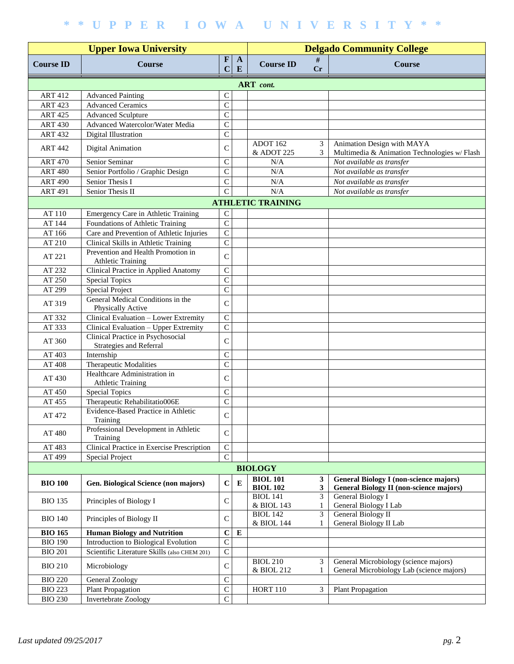|                  |                                                                     | <b>Delgado Community College</b> |                   |                                    |                   |                                                                                                 |  |  |  |  |
|------------------|---------------------------------------------------------------------|----------------------------------|-------------------|------------------------------------|-------------------|-------------------------------------------------------------------------------------------------|--|--|--|--|
| <b>Course ID</b> | <b>Course</b>                                                       | $\mathbf F$<br>$\mathbf C$       | $\mathbf{A}$<br>E | <b>Course ID</b>                   | #<br>Cr           | <b>Course</b>                                                                                   |  |  |  |  |
| <b>ART</b> cont. |                                                                     |                                  |                   |                                    |                   |                                                                                                 |  |  |  |  |
| <b>ART 412</b>   | <b>Advanced Painting</b>                                            | $\mathsf C$                      |                   |                                    |                   |                                                                                                 |  |  |  |  |
| <b>ART 423</b>   | <b>Advanced Ceramics</b>                                            | $\mathsf{C}$                     |                   |                                    |                   |                                                                                                 |  |  |  |  |
| <b>ART 425</b>   | <b>Advanced Sculpture</b>                                           | $\mathsf{C}$                     |                   |                                    |                   |                                                                                                 |  |  |  |  |
| <b>ART 430</b>   | Advanced Watercolor/Water Media                                     | $\mathsf{C}$                     |                   |                                    |                   |                                                                                                 |  |  |  |  |
| <b>ART 432</b>   | Digital Illustration                                                | $\overline{C}$                   |                   |                                    |                   |                                                                                                 |  |  |  |  |
| <b>ART 442</b>   | <b>Digital Animation</b>                                            | $\mathsf{C}$                     |                   | ADOT 162<br>& ADOT 225             | 3<br>3            | Animation Design with MAYA<br>Multimedia & Animation Technologies w/ Flash                      |  |  |  |  |
| <b>ART 470</b>   | Senior Seminar                                                      | $\mathsf{C}$                     |                   | N/A                                |                   | Not available as transfer                                                                       |  |  |  |  |
| <b>ART 480</b>   | Senior Portfolio / Graphic Design                                   | $\mathsf{C}$                     |                   | N/A                                |                   | Not available as transfer                                                                       |  |  |  |  |
| <b>ART 490</b>   | Senior Thesis I                                                     | $\mathsf{C}$                     |                   | N/A                                |                   | Not available as transfer                                                                       |  |  |  |  |
| <b>ART 491</b>   | Senior Thesis II                                                    | $\mathbf C$                      |                   | N/A                                |                   | Not available as transfer                                                                       |  |  |  |  |
|                  |                                                                     |                                  |                   | <b>ATHLETIC TRAINING</b>           |                   |                                                                                                 |  |  |  |  |
| AT 110           | Emergency Care in Athletic Training                                 | $\mathbf C$                      |                   |                                    |                   |                                                                                                 |  |  |  |  |
| AT 144           | Foundations of Athletic Training                                    | $\mathbf C$                      |                   |                                    |                   |                                                                                                 |  |  |  |  |
| AT 166           | Care and Prevention of Athletic Injuries                            | $\overline{C}$                   |                   |                                    |                   |                                                                                                 |  |  |  |  |
| AT 210           | Clinical Skills in Athletic Training                                | $\overline{C}$                   |                   |                                    |                   |                                                                                                 |  |  |  |  |
|                  | Prevention and Health Promotion in                                  |                                  |                   |                                    |                   |                                                                                                 |  |  |  |  |
| AT 221           | <b>Athletic Training</b>                                            | $\mathsf{C}$                     |                   |                                    |                   |                                                                                                 |  |  |  |  |
| AT 232           | Clinical Practice in Applied Anatomy                                | $\mathsf{C}$                     |                   |                                    |                   |                                                                                                 |  |  |  |  |
| AT 250           | <b>Special Topics</b>                                               | $\mathsf{C}$                     |                   |                                    |                   |                                                                                                 |  |  |  |  |
| AT 299           | <b>Special Project</b>                                              | $\overline{C}$                   |                   |                                    |                   |                                                                                                 |  |  |  |  |
|                  | General Medical Conditions in the                                   |                                  |                   |                                    |                   |                                                                                                 |  |  |  |  |
| AT 319           | Physically Active                                                   | $\mathcal{C}$                    |                   |                                    |                   |                                                                                                 |  |  |  |  |
| AT 332           | Clinical Evaluation - Lower Extremity                               | $\mathbf C$                      |                   |                                    |                   |                                                                                                 |  |  |  |  |
| AT 333           | Clinical Evaluation - Upper Extremity                               | $\mathsf{C}$                     |                   |                                    |                   |                                                                                                 |  |  |  |  |
| AT 360           | Clinical Practice in Psychosocial<br><b>Strategies and Referral</b> | $\mathsf{C}$                     |                   |                                    |                   |                                                                                                 |  |  |  |  |
| AT 403           | Internship                                                          | $\mathsf C$                      |                   |                                    |                   |                                                                                                 |  |  |  |  |
| AT 408           | Therapeutic Modalities                                              | $\mathsf{C}$                     |                   |                                    |                   |                                                                                                 |  |  |  |  |
| AT 430           | Healthcare Administration in<br><b>Athletic Training</b>            | $\mathsf{C}$                     |                   |                                    |                   |                                                                                                 |  |  |  |  |
| AT 450           | <b>Special Topics</b>                                               | $\mathsf{C}$                     |                   |                                    |                   |                                                                                                 |  |  |  |  |
| AT 455           | Therapeutic Rehabilitatio006E                                       | $\mathsf{C}$                     |                   |                                    |                   |                                                                                                 |  |  |  |  |
| AT 472           | Evidence-Based Practice in Athletic<br>Training                     | $\mathsf{C}$                     |                   |                                    |                   |                                                                                                 |  |  |  |  |
| AT 480           | Professional Development in Athletic<br>Training                    | $\mathcal{C}$                    |                   |                                    |                   |                                                                                                 |  |  |  |  |
| AT 483           | Clinical Practice in Exercise Prescription                          | $\mathsf{C}$                     |                   |                                    |                   |                                                                                                 |  |  |  |  |
| AT 499           | <b>Special Project</b>                                              | $\mathsf{C}$                     |                   |                                    |                   |                                                                                                 |  |  |  |  |
|                  |                                                                     |                                  |                   | <b>BIOLOGY</b>                     |                   |                                                                                                 |  |  |  |  |
| <b>BIO 100</b>   | Gen. Biological Science (non majors)                                | $\mathbf C$                      | $\bf{E}$          | <b>BIOL 101</b><br><b>BIOL 102</b> | 3<br>$\mathbf{3}$ | <b>General Biology I (non-science majors)</b><br><b>General Biology II (non-science majors)</b> |  |  |  |  |
| <b>BIO 135</b>   | Principles of Biology I                                             | $\mathsf C$                      |                   | <b>BIOL 141</b><br>& BIOL 143      | 3<br>1            | General Biology I<br>General Biology I Lab                                                      |  |  |  |  |
| <b>BIO 140</b>   | Principles of Biology II                                            | $\mathsf{C}$                     |                   | <b>BIOL 142</b><br>& BIOL 144      | 3<br>1            | <b>General Biology II</b><br>General Biology II Lab                                             |  |  |  |  |
| <b>BIO 165</b>   | <b>Human Biology and Nutrition</b>                                  | $\mathbf C$                      | ${\bf E}$         |                                    |                   |                                                                                                 |  |  |  |  |
| <b>BIO 190</b>   | Introduction to Biological Evolution                                | $\mathsf{C}$                     |                   |                                    |                   |                                                                                                 |  |  |  |  |
| <b>BIO 201</b>   | Scientific Literature Skills (also CHEM 201)                        | $\mathsf C$                      |                   |                                    |                   |                                                                                                 |  |  |  |  |
| <b>BIO 210</b>   | Microbiology                                                        | $\mathsf{C}$                     |                   | <b>BIOL 210</b><br>& BIOL 212      | 3                 | General Microbiology (science majors)<br>General Microbiology Lab (science majors)              |  |  |  |  |
| <b>BIO 220</b>   | General Zoology                                                     | $\mathsf{C}$                     |                   |                                    |                   |                                                                                                 |  |  |  |  |
| <b>BIO 223</b>   | Plant Propagation                                                   | $\mathsf{C}$                     |                   | <b>HORT 110</b>                    | 3                 | Plant Propagation                                                                               |  |  |  |  |
| <b>BIO 230</b>   | <b>Invertebrate Zoology</b>                                         | $\overline{C}$                   |                   |                                    |                   |                                                                                                 |  |  |  |  |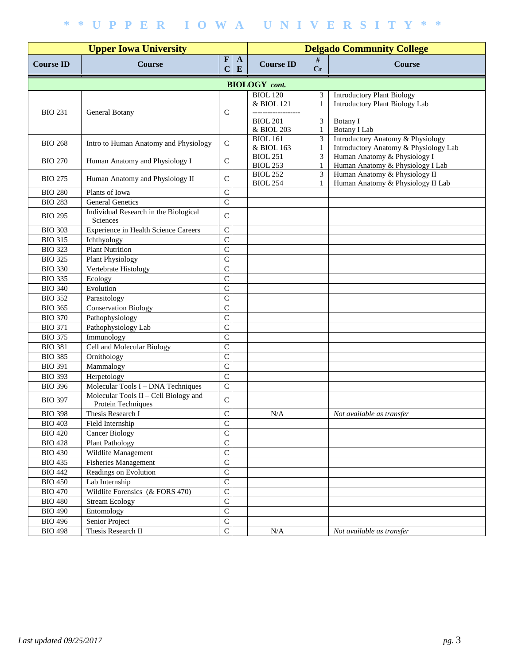|                  |                                                               | <b>Delgado Community College</b> |              |                                    |                                |                                                                            |
|------------------|---------------------------------------------------------------|----------------------------------|--------------|------------------------------------|--------------------------------|----------------------------------------------------------------------------|
| <b>Course ID</b> | <b>Course</b>                                                 | $\mathbf F$<br>E<br>$\mathbf C$  | $\mathbf{A}$ | <b>Course ID</b>                   | #<br>Cr                        | <b>Course</b>                                                              |
|                  |                                                               |                                  |              | <b>BIOLOGY</b> cont.               |                                |                                                                            |
| <b>BIO 231</b>   | General Botany                                                | $\mathsf{C}$                     |              | <b>BIOL</b> 120<br>& BIOL 121      | 3<br>1                         | <b>Introductory Plant Biology</b><br><b>Introductory Plant Biology Lab</b> |
|                  |                                                               |                                  |              | <b>BIOL 201</b><br>& BIOL 203      | 3<br>1                         | Botany I<br><b>Botany I Lab</b>                                            |
| <b>BIO 268</b>   | Intro to Human Anatomy and Physiology                         | $\mathsf{C}$                     |              | <b>BIOL 161</b><br>& BIOL 163      | $\overline{3}$<br>1            | Introductory Anatomy & Physiology<br>Introductory Anatomy & Physiology Lab |
| <b>BIO 270</b>   | Human Anatomy and Physiology I                                | $\mathsf{C}$                     |              | <b>BIOL 251</b><br><b>BIOL 253</b> | 3<br>1                         | Human Anatomy & Physiology I<br>Human Anatomy & Physiology I Lab           |
| <b>BIO 275</b>   | Human Anatomy and Physiology II                               | $\mathsf{C}$                     |              | <b>BIOL 252</b><br><b>BIOL 254</b> | $\mathfrak{Z}$<br>$\mathbf{1}$ | Human Anatomy & Physiology II<br>Human Anatomy & Physiology II Lab         |
| <b>BIO 280</b>   | Plants of Iowa                                                | $\mathsf{C}$                     |              |                                    |                                |                                                                            |
| <b>BIO 283</b>   | <b>General Genetics</b>                                       | $\mathbf C$                      |              |                                    |                                |                                                                            |
| <b>BIO 295</b>   | Individual Research in the Biological<br>Sciences             | $\mathcal{C}$                    |              |                                    |                                |                                                                            |
| <b>BIO 303</b>   | Experience in Health Science Careers                          | $\mathsf{C}$                     |              |                                    |                                |                                                                            |
| <b>BIO 315</b>   | Ichthyology                                                   | $\mathsf{C}$                     |              |                                    |                                |                                                                            |
| <b>BIO 323</b>   | <b>Plant Nutrition</b>                                        | $\mathsf{C}$                     |              |                                    |                                |                                                                            |
| <b>BIO 325</b>   | <b>Plant Physiology</b>                                       | $\mathsf{C}$                     |              |                                    |                                |                                                                            |
| <b>BIO 330</b>   | Vertebrate Histology                                          | $\mathsf{C}$                     |              |                                    |                                |                                                                            |
| <b>BIO 335</b>   | Ecology                                                       | $\overline{C}$                   |              |                                    |                                |                                                                            |
| <b>BIO 340</b>   | Evolution                                                     | $\mathsf{C}$                     |              |                                    |                                |                                                                            |
| <b>BIO 352</b>   | Parasitology                                                  | $\mathbf C$                      |              |                                    |                                |                                                                            |
| <b>BIO 365</b>   | <b>Conservation Biology</b>                                   | $\mathbf C$                      |              |                                    |                                |                                                                            |
| <b>BIO 370</b>   | Pathophysiology                                               | $\overline{C}$                   |              |                                    |                                |                                                                            |
| <b>BIO 371</b>   | Pathophysiology Lab                                           | $\mathsf{C}$                     |              |                                    |                                |                                                                            |
| <b>BIO 375</b>   | Immunology                                                    | $\mathbf C$                      |              |                                    |                                |                                                                            |
| <b>BIO 381</b>   | Cell and Molecular Biology                                    | $\mathsf{C}$                     |              |                                    |                                |                                                                            |
| <b>BIO 385</b>   | Ornithology                                                   | $\mathsf{C}$                     |              |                                    |                                |                                                                            |
| <b>BIO 391</b>   | Mammalogy                                                     | $\mathsf{C}$                     |              |                                    |                                |                                                                            |
| <b>BIO 393</b>   | Herpetology                                                   | $\mathsf{C}$                     |              |                                    |                                |                                                                            |
| <b>BIO 396</b>   | Molecular Tools I - DNA Techniques                            | $\overline{C}$                   |              |                                    |                                |                                                                            |
| <b>BIO 397</b>   | Molecular Tools $II - Cell$ Biology and<br>Protein Techniques | $\mathsf{C}$                     |              |                                    |                                |                                                                            |
| <b>BIO 398</b>   | Thesis Research I                                             | $\mathbf C$                      |              | N/A                                |                                | Not available as transfer                                                  |
| <b>BIO 403</b>   | Field Internship                                              | ${\bf C}$                        |              |                                    |                                |                                                                            |
| <b>BIO 420</b>   | <b>Cancer Biology</b>                                         | $\overline{C}$                   |              |                                    |                                |                                                                            |
| <b>BIO 428</b>   | <b>Plant Pathology</b>                                        | $\overline{C}$                   |              |                                    |                                |                                                                            |
| <b>BIO 430</b>   | Wildlife Management                                           | $\mathsf{C}$                     |              |                                    |                                |                                                                            |
| <b>BIO 435</b>   | <b>Fisheries Management</b>                                   | $\mathsf{C}$                     |              |                                    |                                |                                                                            |
| <b>BIO 442</b>   | Readings on Evolution                                         | $\mathsf{C}$                     |              |                                    |                                |                                                                            |
| <b>BIO 450</b>   | Lab Internship                                                | $\mathsf{C}$                     |              |                                    |                                |                                                                            |
| <b>BIO 470</b>   | Wildlife Forensics (& FORS 470)                               | $\overline{C}$                   |              |                                    |                                |                                                                            |
| <b>BIO 480</b>   | Stream Ecology                                                | $\overline{C}$                   |              |                                    |                                |                                                                            |
| <b>BIO 490</b>   | Entomology                                                    | $\overline{C}$                   |              |                                    |                                |                                                                            |
| <b>BIO 496</b>   | Senior Project                                                | $\mathbf C$                      |              |                                    |                                |                                                                            |
| <b>BIO 498</b>   | Thesis Research II                                            | $\mathsf C$                      |              | N/A                                |                                | Not available as transfer                                                  |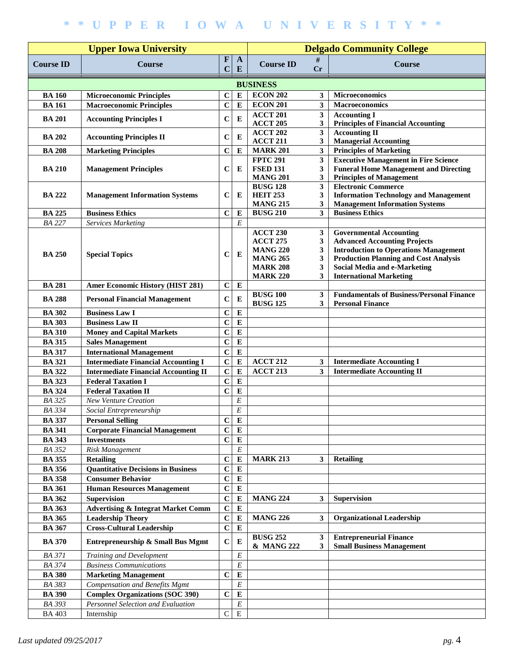|                  |                                               | <b>Delgado Community College</b> |                |                                    |                         |                                                                                             |
|------------------|-----------------------------------------------|----------------------------------|----------------|------------------------------------|-------------------------|---------------------------------------------------------------------------------------------|
| <b>Course ID</b> | <b>Course</b>                                 | $\mathbf{F}$<br>$\mathbf C$      | A<br>E         | <b>Course ID</b>                   | #<br><b>Cr</b>          | <b>Course</b>                                                                               |
|                  |                                               |                                  |                | <b>BUSINESS</b>                    |                         |                                                                                             |
| <b>BA 160</b>    | <b>Microeconomic Principles</b>               | $\mathbf C$                      | $\bf{E}$       | <b>ECON 202</b>                    | 3                       | <b>Microeconomics</b>                                                                       |
| <b>BA 161</b>    | <b>Macroeconomic Principles</b>               | $\mathbf C$                      | $\bf{E}$       | <b>ECON 201</b>                    | 3                       | Macroeconomics                                                                              |
| <b>BA 201</b>    | <b>Accounting Principles I</b>                | $\mathbf C$                      | E              | <b>ACCT 201</b>                    | $\mathbf{3}$            | <b>Accounting I</b>                                                                         |
|                  |                                               |                                  |                | <b>ACCT 205</b>                    | 3                       | <b>Principles of Financial Accounting</b>                                                   |
| <b>BA 202</b>    | <b>Accounting Principles II</b>               | $\mathbf C$                      | ${\bf E}$      | <b>ACCT 202</b>                    | $\overline{\mathbf{3}}$ | <b>Accounting II</b>                                                                        |
|                  |                                               |                                  |                | <b>ACCT 211</b>                    | 3                       | <b>Managerial Accounting</b>                                                                |
| <b>BA 208</b>    | <b>Marketing Principles</b>                   | $\mathbf C$                      | $\bf{E}$       | <b>MARK 201</b>                    | $\mathbf{3}$            | <b>Principles of Marketing</b>                                                              |
| <b>BA 210</b>    |                                               | $\mathbf C$                      | E              | <b>FPTC 291</b><br><b>FSED 131</b> | 3<br>3                  | <b>Executive Management in Fire Science</b><br><b>Funeral Home Management and Directing</b> |
|                  | <b>Management Principles</b>                  |                                  |                | <b>MANG 201</b>                    | 3                       | <b>Principles of Management</b>                                                             |
|                  |                                               |                                  |                | <b>BUSG 128</b>                    | 3                       | <b>Electronic Commerce</b>                                                                  |
| <b>BA 222</b>    | <b>Management Information Systems</b>         | $\mathbf C$                      | E              | <b>HEIT 253</b>                    | 3                       | <b>Information Technology and Management</b>                                                |
|                  |                                               |                                  |                | <b>MANG 215</b>                    | 3                       | <b>Management Information Systems</b>                                                       |
| <b>BA 225</b>    | <b>Business Ethics</b>                        | $\mathbf C$                      | $\bf{E}$       | <b>BUSG 210</b>                    | 3                       | <b>Business Ethics</b>                                                                      |
| <b>BA 227</b>    | <b>Services Marketing</b>                     |                                  | $\cal E$       |                                    |                         |                                                                                             |
|                  |                                               |                                  |                | <b>ACCT 230</b>                    | 3                       | <b>Governmental Accounting</b>                                                              |
|                  |                                               |                                  |                | <b>ACCT 275</b>                    | 3                       | <b>Advanced Accounting Projects</b>                                                         |
| <b>BA 250</b>    | <b>Special Topics</b>                         | C                                | E              | <b>MANG 220</b>                    | 3                       | <b>Introduction to Operations Management</b>                                                |
|                  |                                               |                                  |                | <b>MANG 265</b><br><b>MARK 208</b> | 3<br>3                  | <b>Production Planning and Cost Analysis</b><br>Social Media and e-Marketing                |
|                  |                                               |                                  |                | <b>MARK 220</b>                    | 3                       | <b>International Marketing</b>                                                              |
| <b>BA 281</b>    | <b>Amer Economic History (HIST 281)</b>       | $\mathbf C$                      | ${\bf E}$      |                                    |                         |                                                                                             |
|                  |                                               |                                  |                | <b>BUSG 100</b>                    | 3                       | <b>Fundamentals of Business/Personal Finance</b>                                            |
| <b>BA 288</b>    | <b>Personal Financial Management</b>          | $\mathbf C$                      | ${\bf E}$      | <b>BUSG 125</b>                    | 3                       | <b>Personal Finance</b>                                                                     |
| <b>BA 302</b>    | <b>Business Law I</b>                         | $\mathbf C$                      | ${\bf E}$      |                                    |                         |                                                                                             |
| <b>BA 303</b>    | <b>Business Law II</b>                        | $\mathbf C$                      | ${\bf E}$      |                                    |                         |                                                                                             |
| <b>BA 310</b>    | <b>Money and Capital Markets</b>              | $\mathbf C$                      | ${\bf E}$      |                                    |                         |                                                                                             |
| <b>BA 315</b>    | <b>Sales Management</b>                       | $\mathbf C$                      | ${\bf E}$      |                                    |                         |                                                                                             |
| <b>BA 317</b>    | <b>International Management</b>               | $\mathbf C$                      | ${\bf E}$      |                                    |                         |                                                                                             |
| <b>BA 321</b>    | <b>Intermediate Financial Accounting I</b>    | $\mathbf C$                      | $\bf{E}$       | <b>ACCT 212</b>                    | 3                       | <b>Intermediate Accounting I</b>                                                            |
| <b>BA 322</b>    | <b>Intermediate Financial Accounting II</b>   | $\mathbf C$                      | $\mathbf E$    | <b>ACCT 213</b>                    | $\overline{\mathbf{3}}$ | <b>Intermediate Accounting II</b>                                                           |
| <b>BA 323</b>    | <b>Federal Taxation I</b>                     | $\mathbf C$                      | $\bf{E}$       |                                    |                         |                                                                                             |
| <b>BA 324</b>    | <b>Federal Taxation II</b>                    | $\mathbf C$                      | $\bf{E}$       |                                    |                         |                                                                                             |
| <b>BA 325</b>    | <b>New Venture Creation</b>                   |                                  | $\cal E$       |                                    |                         |                                                                                             |
| <b>BA 334</b>    | Social Entrepreneurship                       |                                  | $\cal E$       |                                    |                         |                                                                                             |
| <b>BA 337</b>    | <b>Personal Selling</b>                       | $\mathbf C$                      | $\overline{E}$ |                                    |                         |                                                                                             |
| <b>BA 341</b>    | <b>Corporate Financial Management</b>         | $\mathbf C$                      | E              |                                    |                         |                                                                                             |
| <b>BA 343</b>    | <b>Investments</b>                            | $\mathbf C$                      | ${\bf E}$      |                                    |                         |                                                                                             |
| <b>BA 352</b>    | Risk Management                               |                                  | $\cal E$       |                                    |                         |                                                                                             |
| <b>BA 355</b>    | <b>Retailing</b>                              | $\mathbf C$                      | $\bf{E}$       | <b>MARK 213</b>                    | 3                       | <b>Retailing</b>                                                                            |
| <b>BA 356</b>    | <b>Quantitative Decisions in Business</b>     | $\mathbf C$                      | ${\bf E}$      |                                    |                         |                                                                                             |
| <b>BA 358</b>    | <b>Consumer Behavior</b>                      | $\mathbf C$                      | ${\bf E}$      |                                    |                         |                                                                                             |
| <b>BA 361</b>    | <b>Human Resources Management</b>             | $\mathbf C$                      | ${\bf E}$      |                                    |                         |                                                                                             |
| <b>BA 362</b>    | Supervision                                   | $\mathbf C$                      | ${\bf E}$      | <b>MANG 224</b>                    | $\overline{\mathbf{3}}$ | Supervision                                                                                 |
| <b>BA 363</b>    | <b>Advertising &amp; Integrat Market Comm</b> | $\mathbf C$                      | $\bf E$        |                                    |                         |                                                                                             |
| <b>BA 365</b>    | <b>Leadership Theory</b>                      | $\mathbf C$                      | ${\bf E}$      | <b>MANG 226</b>                    | $\mathbf{3}$            | <b>Organizational Leadership</b>                                                            |
| <b>BA 367</b>    | <b>Cross-Cultural Leadership</b>              | $\mathbf C$                      | ${\bf E}$      |                                    |                         |                                                                                             |
| <b>BA 370</b>    | <b>Entrepreneurship &amp; Small Bus Mgmt</b>  | $\mathbf C$                      | E              | <b>BUSG 252</b><br>& MANG 222      | 3<br>3                  | <b>Entrepreneurial Finance</b><br><b>Small Business Management</b>                          |
| <b>BA 371</b>    | Training and Development                      |                                  | $\cal E$       |                                    |                         |                                                                                             |
| <b>BA 374</b>    | <b>Business Communications</b>                |                                  | $\cal E$       |                                    |                         |                                                                                             |
| <b>BA 380</b>    | <b>Marketing Management</b>                   | $\mathbf C$                      | ${\bf E}$      |                                    |                         |                                                                                             |
| <b>BA 383</b>    | <b>Compensation and Benefits Mgmt</b>         |                                  | $\cal E$       |                                    |                         |                                                                                             |
| <b>BA 390</b>    | <b>Complex Organizations (SOC 390)</b>        | $\mathbf C$                      | ${\bf E}$      |                                    |                         |                                                                                             |
| <b>BA 393</b>    | Personnel Selection and Evaluation            |                                  | $\cal E$       |                                    |                         |                                                                                             |
| <b>BA 403</b>    | Internship                                    | $\mathbf C$                      | ${\bf E}$      |                                    |                         |                                                                                             |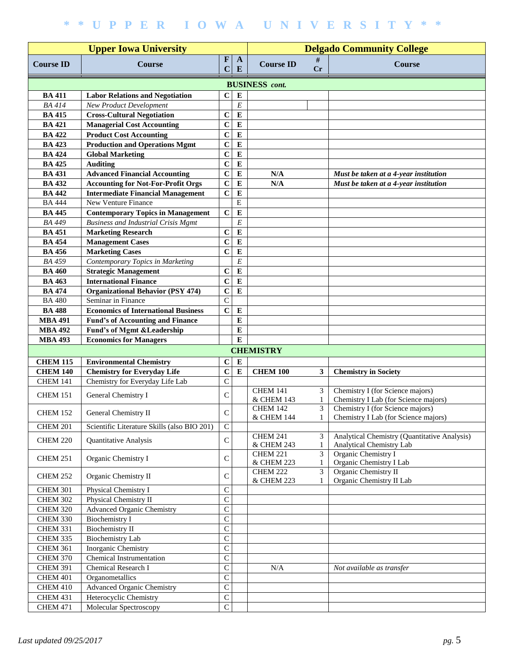|                                    |                                                                         | <b>Delgado Community College</b> |                   |                       |              |                                              |
|------------------------------------|-------------------------------------------------------------------------|----------------------------------|-------------------|-----------------------|--------------|----------------------------------------------|
| <b>Course ID</b>                   | <b>Course</b>                                                           | $\mathbf F$<br>$\mathbf C$       | $\mathbf{A}$<br>E | <b>Course ID</b>      | #<br>Cr      | Course                                       |
|                                    |                                                                         |                                  |                   | <b>BUSINESS</b> cont. |              |                                              |
| <b>BA 411</b>                      | <b>Labor Relations and Negotiation</b>                                  | $\mathbf C$                      | E                 |                       |              |                                              |
| <b>BA</b> 414                      | <b>New Product Development</b>                                          |                                  | E                 |                       |              |                                              |
| <b>BA 415</b>                      | <b>Cross-Cultural Negotiation</b>                                       | $\mathbf C$                      | $\bf{E}$          |                       |              |                                              |
| <b>BA 421</b>                      | <b>Managerial Cost Accounting</b>                                       | $\mathbf C$                      | E                 |                       |              |                                              |
| <b>BA 422</b>                      | <b>Product Cost Accounting</b>                                          | $\mathbf C$                      | E                 |                       |              |                                              |
| <b>BA 423</b>                      | <b>Production and Operations Mgmt</b>                                   | $\mathbf C$                      | E                 |                       |              |                                              |
| <b>BA 424</b>                      | <b>Global Marketing</b>                                                 | $\mathbf C$                      | $\bf{E}$          |                       |              |                                              |
| <b>BA 425</b>                      | <b>Auditing</b>                                                         | $\mathbf C$                      | $\bf{E}$          |                       |              |                                              |
| <b>BA 431</b>                      | <b>Advanced Financial Accounting</b>                                    | $\mathbf C$                      | E                 | N/A                   |              | Must be taken at a 4-year institution        |
| <b>BA 432</b>                      | <b>Accounting for Not-For-Profit Orgs</b>                               | $\mathbf C$                      | E                 | N/A                   |              | Must be taken at a 4-year institution        |
| <b>BA 442</b>                      | <b>Intermediate Financial Management</b>                                | $\mathbf C$                      | $\bf{E}$          |                       |              |                                              |
| <b>BA 444</b>                      | New Venture Finance                                                     |                                  | Ε                 |                       |              |                                              |
| <b>BA 445</b>                      | <b>Contemporary Topics in Management</b>                                | $\mathbf C$                      | ${\bf E}$         |                       |              |                                              |
| <b>BA 449</b>                      | <b>Business and Industrial Crisis Mgmt</b>                              |                                  | E                 |                       |              |                                              |
| <b>BA 451</b>                      | <b>Marketing Research</b>                                               | $\mathbf C$                      | $\bf{E}$          |                       |              |                                              |
| <b>BA 454</b>                      | <b>Management Cases</b>                                                 | $\mathbf C$                      | $\bf{E}$          |                       |              |                                              |
| <b>BA 456</b>                      | <b>Marketing Cases</b>                                                  | $\mathbf C$                      | ${\bf E}$         |                       |              |                                              |
| <b>BA 459</b>                      | Contemporary Topics in Marketing                                        |                                  | E                 |                       |              |                                              |
| <b>BA 460</b>                      | <b>Strategic Management</b>                                             | $\mathbf C$                      | ${\bf E}$         |                       |              |                                              |
| <b>BA 463</b>                      | <b>International Finance</b>                                            | $\mathbf C$                      | E                 |                       |              |                                              |
| <b>BA 474</b>                      |                                                                         |                                  | E                 |                       |              |                                              |
| <b>BA 480</b>                      | <b>Organizational Behavior (PSY 474)</b><br>Seminar in Finance          | $\mathbf C$<br>$\mathsf{C}$      |                   |                       |              |                                              |
|                                    | <b>Economics of International Business</b>                              | $\mathbf C$                      |                   |                       |              |                                              |
| <b>BA 488</b>                      |                                                                         |                                  | E<br>E            |                       |              |                                              |
| <b>MBA 491</b>                     | <b>Fund's of Accounting and Finance</b>                                 |                                  | ${\bf E}$         |                       |              |                                              |
| <b>MBA 492</b><br><b>MBA 493</b>   | <b>Fund's of Mgmt &amp; Leadership</b><br><b>Economics for Managers</b> |                                  | E                 |                       |              |                                              |
|                                    |                                                                         |                                  |                   |                       |              |                                              |
|                                    |                                                                         |                                  |                   | <b>CHEMISTRY</b>      |              |                                              |
| <b>CHEM 115</b>                    | <b>Environmental Chemistry</b>                                          | $\bf C$                          | E                 |                       |              |                                              |
| <b>CHEM 140</b><br><b>CHEM 141</b> | <b>Chemistry for Everyday Life</b><br>Chemistry for Everyday Life Lab   | $\mathbf C$                      | ${\bf E}$         | <b>CHEM 100</b>       | $\mathbf{3}$ | <b>Chemistry in Society</b>                  |
|                                    |                                                                         | $\mathsf{C}$                     |                   | <b>CHEM 141</b>       | 3            | Chemistry I (for Science majors)             |
| <b>CHEM 151</b>                    | General Chemistry I                                                     | $\mathsf{C}$                     |                   | & CHEM 143            | 1            | Chemistry I Lab (for Science majors)         |
|                                    |                                                                         |                                  |                   | <b>CHEM 142</b>       | 3            | Chemistry I (for Science majors)             |
| <b>CHEM 152</b>                    | General Chemistry II                                                    | $\mathsf{C}$                     |                   | & CHEM 144            |              | Chemistry I Lab (for Science majors)         |
| <b>CHEM 201</b>                    | Scientific Literature Skills (also BIO 201)                             | $\mathsf C$                      |                   |                       |              |                                              |
|                                    |                                                                         |                                  |                   | <b>CHEM 241</b>       | 3            | Analytical Chemistry (Quantitative Analysis) |
| <b>CHEM 220</b>                    | Quantitative Analysis                                                   | $\mathsf C$                      |                   | & CHEM 243            | 1            | Analytical Chemistry Lab                     |
| <b>CHEM 251</b>                    | Organic Chemistry I                                                     | $\mathsf{C}$                     |                   | <b>CHEM 221</b>       | 3            | Organic Chemistry I                          |
|                                    |                                                                         |                                  |                   | & CHEM 223            | 1            | Organic Chemistry I Lab                      |
| <b>CHEM 252</b>                    | Organic Chemistry II                                                    | $\mathsf C$                      |                   | <b>CHEM 222</b>       | 3            | Organic Chemistry II                         |
|                                    |                                                                         |                                  |                   | & CHEM 223            |              | Organic Chemistry II Lab                     |
| <b>CHEM 301</b>                    | Physical Chemistry I                                                    | $\overline{C}$                   |                   |                       |              |                                              |
| <b>CHEM 302</b>                    | Physical Chemistry II                                                   | $\overline{C}$                   |                   |                       |              |                                              |
| <b>CHEM 320</b>                    | <b>Advanced Organic Chemistry</b>                                       | $\overline{C}$                   |                   |                       |              |                                              |
| <b>CHEM 330</b>                    | <b>Biochemistry I</b>                                                   | $\overline{C}$                   |                   |                       |              |                                              |
| <b>CHEM 331</b>                    | <b>Biochemistry II</b>                                                  | $\mathsf{C}$                     |                   |                       |              |                                              |
| CHEM 335                           | <b>Biochemistry Lab</b>                                                 | $\mathsf C$                      |                   |                       |              |                                              |
| <b>CHEM 361</b>                    | Inorganic Chemistry                                                     | $\mathsf C$                      |                   |                       |              |                                              |
| <b>CHEM 370</b>                    | Chemical Instrumentation                                                | $\mathsf C$                      |                   |                       |              |                                              |
| <b>CHEM 391</b>                    | Chemical Research I                                                     | $\mathsf{C}$                     |                   | N/A                   |              | Not available as transfer                    |
| CHEM 401                           | Organometallics                                                         | $\mathsf C$                      |                   |                       |              |                                              |
| CHEM 410                           | <b>Advanced Organic Chemistry</b>                                       | $\overline{C}$                   |                   |                       |              |                                              |
| <b>CHEM 431</b>                    | Heterocyclic Chemistry                                                  | $\overline{C}$                   |                   |                       |              |                                              |
| <b>CHEM 471</b>                    | Molecular Spectroscopy                                                  | $\overline{C}$                   |                   |                       |              |                                              |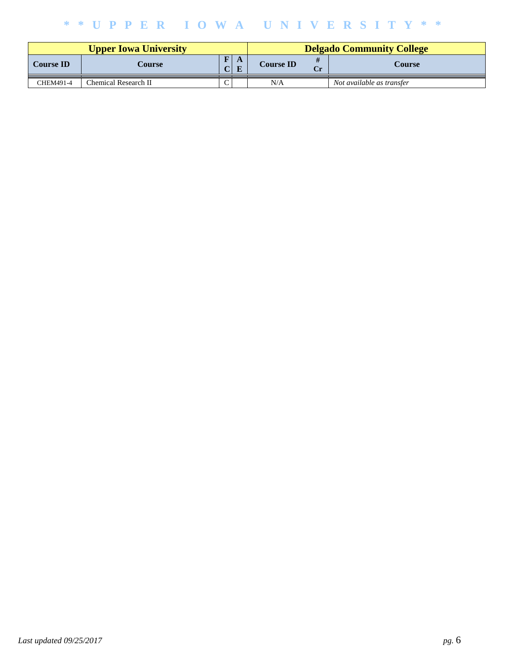|                  |                      | <b>Delgado Community College</b> |                  |    |                           |
|------------------|----------------------|----------------------------------|------------------|----|---------------------------|
| <b>Course ID</b> | Course               | $\mathbf{F}$<br>A<br>т           | <b>Course ID</b> | Cr | Course                    |
| CHEM491-4        | Chemical Research II |                                  | N/A              |    | Not available as transfer |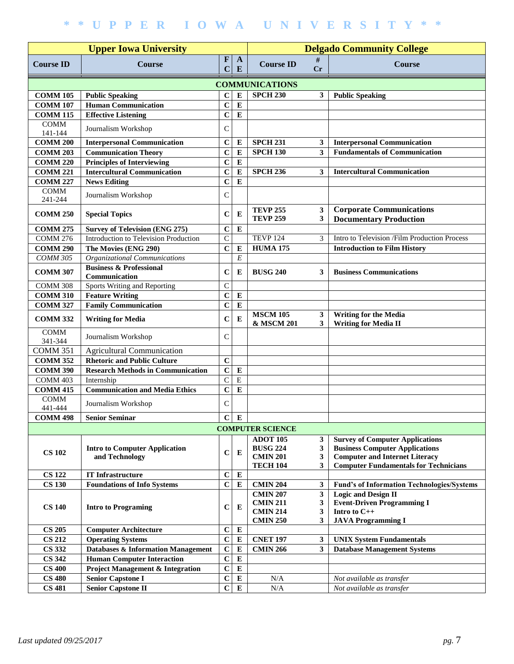|                       |                                               | <b>Delgado Community College</b> |                   |                         |              |                                                                                       |  |  |  |  |
|-----------------------|-----------------------------------------------|----------------------------------|-------------------|-------------------------|--------------|---------------------------------------------------------------------------------------|--|--|--|--|
| <b>Course ID</b>      | <b>Upper Iowa University</b><br><b>Course</b> | $\mathbf{F}$<br>C                | $\mathbf{A}$<br>E | <b>Course ID</b>        | #<br>Cr      | Course                                                                                |  |  |  |  |
| <b>COMMUNICATIONS</b> |                                               |                                  |                   |                         |              |                                                                                       |  |  |  |  |
| <b>COMM 105</b>       | <b>Public Speaking</b>                        | $\mathbf C$                      | $\bf E$           | <b>SPCH 230</b>         | 3            | <b>Public Speaking</b>                                                                |  |  |  |  |
| <b>COMM 107</b>       | <b>Human Communication</b>                    | $\mathbf C$                      | $\bf{E}$          |                         |              |                                                                                       |  |  |  |  |
| <b>COMM 115</b>       | <b>Effective Listening</b>                    | $\mathbf C$                      | ${\bf E}$         |                         |              |                                                                                       |  |  |  |  |
| <b>COMM</b>           |                                               |                                  |                   |                         |              |                                                                                       |  |  |  |  |
| 141-144               | Journalism Workshop                           | $\mathsf{C}$                     |                   |                         |              |                                                                                       |  |  |  |  |
| <b>COMM 200</b>       | <b>Interpersonal Communication</b>            | $\mathbf C$                      | $\bf{E}$          | <b>SPCH 231</b>         | 3            | <b>Interpersonal Communication</b>                                                    |  |  |  |  |
| <b>COMM 203</b>       | <b>Communication Theory</b>                   | $\mathbf C$                      | $\bf{E}$          | <b>SPCH 130</b>         | 3            | <b>Fundamentals of Communication</b>                                                  |  |  |  |  |
| <b>COMM 220</b>       | <b>Principles of Interviewing</b>             | $\mathbf C$                      | ${\bf E}$         |                         |              |                                                                                       |  |  |  |  |
| <b>COMM 221</b>       | <b>Intercultural Communication</b>            | $\mathbf C$                      | ${\bf E}$         | <b>SPCH 236</b>         | 3            | <b>Intercultural Communication</b>                                                    |  |  |  |  |
| <b>COMM 227</b>       | <b>News Editing</b>                           | $\mathbf C$                      | ${\bf E}$         |                         |              |                                                                                       |  |  |  |  |
| <b>COMM</b>           | Journalism Workshop                           | $\mathsf{C}$                     |                   |                         |              |                                                                                       |  |  |  |  |
| 241-244               |                                               |                                  |                   |                         |              |                                                                                       |  |  |  |  |
| <b>COMM 250</b>       | <b>Special Topics</b>                         | $\mathbf C$                      | E                 | <b>TEVP 255</b>         | 3            | <b>Corporate Communications</b>                                                       |  |  |  |  |
|                       |                                               |                                  |                   | <b>TEVP 259</b>         | 3            | <b>Documentary Production</b>                                                         |  |  |  |  |
| <b>COMM 275</b>       | <b>Survey of Television (ENG 275)</b>         | $\mathbf C$                      | ${\bf E}$         |                         |              |                                                                                       |  |  |  |  |
| <b>COMM 276</b>       | Introduction to Television Production         | $\mathsf{C}$                     |                   | <b>TEVP 124</b>         | 3            | Intro to Television /Film Production Process                                          |  |  |  |  |
| <b>COMM 290</b>       | The Movies (ENG 290)                          | $\mathbf C$                      | ${\bf E}$         | <b>HUMA 175</b>         |              | <b>Introduction to Film History</b>                                                   |  |  |  |  |
| СОММ 305              | Organizational Communications                 |                                  | E                 |                         |              |                                                                                       |  |  |  |  |
| <b>COMM 307</b>       | <b>Business &amp; Professional</b>            | $\mathbf C$                      | E                 | <b>BUSG 240</b>         | 3            | <b>Business Communications</b>                                                        |  |  |  |  |
| COMM 308              | Communication<br>Sports Writing and Reporting | $\mathsf{C}$                     |                   |                         |              |                                                                                       |  |  |  |  |
| <b>COMM 310</b>       | <b>Feature Writing</b>                        | $\mathbf C$                      | ${\bf E}$         |                         |              |                                                                                       |  |  |  |  |
| <b>COMM 327</b>       | <b>Family Communication</b>                   | $\mathbf C$                      | ${\bf E}$         |                         |              |                                                                                       |  |  |  |  |
|                       |                                               |                                  |                   | <b>MSCM 105</b>         | 3            | <b>Writing for the Media</b>                                                          |  |  |  |  |
| <b>COMM 332</b>       | <b>Writing for Media</b>                      | $\mathbf C$                      | E                 | & MSCM 201              | 3            | <b>Writing for Media II</b>                                                           |  |  |  |  |
| <b>COMM</b>           |                                               |                                  |                   |                         |              |                                                                                       |  |  |  |  |
| 341-344               | Journalism Workshop                           | $\mathsf{C}$                     |                   |                         |              |                                                                                       |  |  |  |  |
| <b>COMM 351</b>       | <b>Agricultural Communication</b>             |                                  |                   |                         |              |                                                                                       |  |  |  |  |
| <b>COMM 352</b>       | <b>Rhetoric and Public Culture</b>            | $\mathbf C$                      |                   |                         |              |                                                                                       |  |  |  |  |
| <b>COMM 390</b>       | <b>Research Methods in Communication</b>      | $\mathbf C$                      | ${\bf E}$         |                         |              |                                                                                       |  |  |  |  |
| COMM 403              | Internship                                    | $\mathbf C$                      | $\mathbf E$       |                         |              |                                                                                       |  |  |  |  |
| <b>COMM 415</b>       | <b>Communication and Media Ethics</b>         | $\mathbf C$                      | ${\bf E}$         |                         |              |                                                                                       |  |  |  |  |
| <b>COMM</b>           | Journalism Workshop                           | $\mathsf{C}$                     |                   |                         |              |                                                                                       |  |  |  |  |
| 441-444               |                                               |                                  |                   |                         |              |                                                                                       |  |  |  |  |
| <b>COMM 498</b>       | <b>Senior Seminar</b>                         |                                  | $C$ $E$           |                         |              |                                                                                       |  |  |  |  |
|                       |                                               |                                  |                   | <b>COMPUTER SCIENCE</b> |              |                                                                                       |  |  |  |  |
|                       |                                               |                                  |                   | <b>ADOT 105</b>         | $\mathbf{3}$ | <b>Survey of Computer Applications</b>                                                |  |  |  |  |
| <b>CS 102</b>         | <b>Intro to Computer Application</b>          | $\mathbf C$                      | $\bf{E}$          | <b>BUSG 224</b>         | 3            | <b>Business Computer Applications</b>                                                 |  |  |  |  |
|                       | and Technology                                |                                  |                   | <b>CMIN 201</b>         | $\mathbf{3}$ | <b>Computer and Internet Literacy</b><br><b>Computer Fundamentals for Technicians</b> |  |  |  |  |
| <b>CS 122</b>         | <b>IT Infrastructure</b>                      | $\mathbf C$                      | $\bf E$           | <b>TECH 104</b>         | 3            |                                                                                       |  |  |  |  |
| <b>CS 130</b>         | <b>Foundations of Info Systems</b>            | $\mathbf C$                      | ${\bf E}$         | <b>CMIN 204</b>         | $\mathbf{3}$ | <b>Fund's of Information Technologies/Systems</b>                                     |  |  |  |  |
|                       |                                               |                                  |                   | <b>CMIN 207</b>         | 3            | <b>Logic and Design II</b>                                                            |  |  |  |  |
|                       |                                               |                                  |                   | <b>CMIN 211</b>         | 3            | <b>Event-Driven Programming I</b>                                                     |  |  |  |  |
| <b>CS 140</b>         | <b>Intro to Programing</b>                    | $\mathbf C$                      | E                 | <b>CMIN 214</b>         | 3            | Intro to C++                                                                          |  |  |  |  |
|                       |                                               |                                  |                   | <b>CMIN 250</b>         | 3            | <b>JAVA Programming I</b>                                                             |  |  |  |  |
| <b>CS 205</b>         | <b>Computer Architecture</b>                  | $\mathbf C$                      | ${\bf E}$         |                         |              |                                                                                       |  |  |  |  |
| <b>CS 212</b>         | <b>Operating Systems</b>                      | $\mathbf C$                      | ${\bf E}$         | <b>CNET 197</b>         | 3            | <b>UNIX System Fundamentals</b>                                                       |  |  |  |  |
| <b>CS 332</b>         | Databases & Information Management            | $\mathbf C$                      | ${\bf E}$         | <b>CMIN 266</b>         | $\mathbf{3}$ | <b>Database Management Systems</b>                                                    |  |  |  |  |
| <b>CS 342</b>         | <b>Human Computer Interaction</b>             | $\mathbf C$                      | ${\bf E}$         |                         |              |                                                                                       |  |  |  |  |
| <b>CS 400</b>         | <b>Project Management &amp; Integration</b>   | $\mathbf C$                      | ${\bf E}$         |                         |              |                                                                                       |  |  |  |  |
| <b>CS 480</b>         | <b>Senior Capstone I</b>                      | $\mathbf C$                      | ${\bf E}$         | N/A                     |              | Not available as transfer                                                             |  |  |  |  |
| <b>CS 481</b>         | <b>Senior Capstone II</b>                     | $\mathbf C$                      | ${\bf E}$         | $\rm N/A$               |              | Not available as transfer                                                             |  |  |  |  |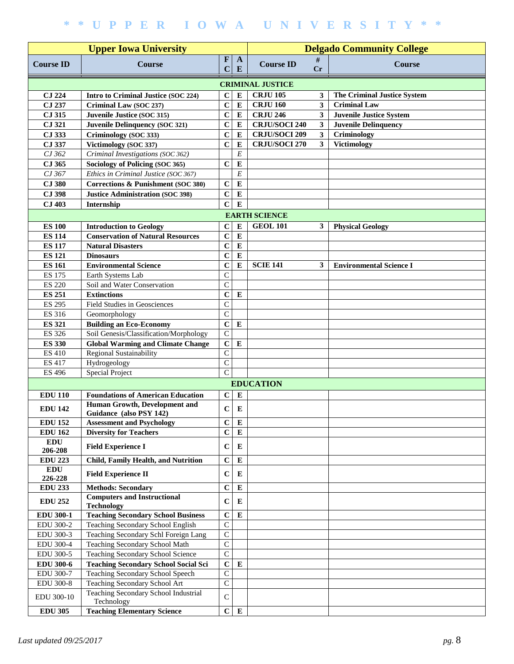|                       |                                                         | <b>Delgado Community College</b> |                   |                         |                         |                                    |
|-----------------------|---------------------------------------------------------|----------------------------------|-------------------|-------------------------|-------------------------|------------------------------------|
| <b>Course ID</b>      | <b>Course</b>                                           | F<br>C                           | $\mathbf{A}$<br>E | <b>Course ID</b>        | #<br>Cr                 | <b>Course</b>                      |
|                       |                                                         |                                  |                   | <b>CRIMINAL JUSTICE</b> |                         |                                    |
| <b>CJ 224</b>         | Intro to Criminal Justice (SOC 224)                     | $\mathbf C$                      | $\bf{E}$          | <b>CRJU 105</b>         | 3                       | <b>The Criminal Justice System</b> |
| CJ 237                | Criminal Law (SOC 237)                                  | $\mathbf C$                      | ${\bf E}$         | <b>CRJU 160</b>         | 3                       | <b>Criminal Law</b>                |
| CJ 315                | Juvenile Justice (SOC 315)                              | $\mathbf C$                      | ${\bf E}$         | <b>CRJU 246</b>         | $\mathbf{3}$            | <b>Juvenile Justice System</b>     |
| CJ 321                | <b>Juvenile Delinquency (SOC 321)</b>                   | $\mathbf C$                      | ${\bf E}$         | <b>CRJU/SOCI 240</b>    | 3                       | <b>Juvenile Delinquency</b>        |
| CJ 333                | Criminology (SOC 333)                                   | $\mathbf C$                      | $\bf{E}$          | <b>CRJU/SOCI 209</b>    | $\overline{\mathbf{3}}$ | Criminology                        |
| CJ 337                | Victimology (SOC 337)                                   | $\mathbf C$                      | E                 | <b>CRJU/SOCI 270</b>    | $\overline{\mathbf{3}}$ | <b>Victimology</b>                 |
| CJ 362                | Criminal Investigations (SOC 362)                       |                                  | E                 |                         |                         |                                    |
| CJ 365                | Sociology of Policing (SOC 365)                         | $\mathbf C$                      | E                 |                         |                         |                                    |
| CJ 367                | Ethics in Criminal Justice (SOC 367)                    |                                  | E                 |                         |                         |                                    |
| <b>CJ 380</b>         | Corrections & Punishment (SOC 380)                      | $\mathbf C$                      | $\bf{E}$          |                         |                         |                                    |
| <b>CJ 398</b>         | <b>Justice Administration (SOC 398)</b>                 | $\mathbf C$                      | E                 |                         |                         |                                    |
| <b>CJ 403</b>         | Internship                                              | $\mathbf C$                      | ${\bf E}$         |                         |                         |                                    |
|                       |                                                         |                                  |                   | <b>EARTH SCIENCE</b>    |                         |                                    |
| <b>ES 100</b>         | <b>Introduction to Geology</b>                          | $\mathbf C$                      | $\bf{E}$          | <b>GEOL 101</b>         | 3                       | <b>Physical Geology</b>            |
| <b>ES 114</b>         | <b>Conservation of Natural Resources</b>                | $\mathbf C$                      | ${\bf E}$         |                         |                         |                                    |
| <b>ES 117</b>         | <b>Natural Disasters</b>                                | $\mathbf C$                      | ${\bf E}$         |                         |                         |                                    |
| <b>ES 121</b>         | <b>Dinosaurs</b>                                        | $\mathbf C$                      | ${\bf E}$         |                         |                         |                                    |
| <b>ES 161</b>         | <b>Environmental Science</b>                            | $\mathbf C$                      | E                 | <b>SCIE 141</b>         | 3                       | <b>Environmental Science I</b>     |
| <b>ES 175</b>         | Earth Systems Lab                                       | $\mathbf C$                      |                   |                         |                         |                                    |
| <b>ES 220</b>         | Soil and Water Conservation                             | $\overline{C}$                   |                   |                         |                         |                                    |
| <b>ES 251</b>         | <b>Extinctions</b>                                      | $\mathbf C$                      | E                 |                         |                         |                                    |
| <b>ES 295</b>         | Field Studies in Geosciences                            | $\mathbf C$                      |                   |                         |                         |                                    |
| ES 316                | Geomorphology                                           | $\mathbf C$                      |                   |                         |                         |                                    |
| <b>ES 321</b>         | <b>Building an Eco-Economy</b>                          | $\mathbf C$                      | E                 |                         |                         |                                    |
| ES 326                | Soil Genesis/Classification/Morphology                  | $\mathbf C$                      |                   |                         |                         |                                    |
| <b>ES 330</b>         | <b>Global Warming and Climate Change</b>                | $\mathbf C$                      | ${\bf E}$         |                         |                         |                                    |
| <b>ES 410</b>         | Regional Sustainability                                 | $\mathbf C$                      |                   |                         |                         |                                    |
| <b>ES 417</b>         | Hydrogeology                                            | $\mathsf{C}$                     |                   |                         |                         |                                    |
| <b>ES 496</b>         | Special Project                                         | $\overline{C}$                   |                   |                         |                         |                                    |
|                       |                                                         |                                  |                   | <b>EDUCATION</b>        |                         |                                    |
| <b>EDU 110</b>        | <b>Foundations of American Education</b>                | $\mathbf C$                      | $\bf{E}$          |                         |                         |                                    |
|                       | Human Growth, Development and                           |                                  |                   |                         |                         |                                    |
| <b>EDU 142</b>        | Guidance (also PSY 142)                                 | $\mathbf C$                      | E                 |                         |                         |                                    |
| <b>EDU 152</b>        | <b>Assessment and Psychology</b>                        | $\bf C$                          | $\bf{E}$          |                         |                         |                                    |
| <b>EDU 162</b>        | <b>Diversity for Teachers</b>                           | $\mathbf C$                      | ${\bf E}$         |                         |                         |                                    |
| <b>EDU</b><br>206-208 | <b>Field Experience I</b>                               | $\mathbf C$                      | E                 |                         |                         |                                    |
| <b>EDU 223</b>        | <b>Child, Family Health, and Nutrition</b>              | $\mathbf C$                      | ${\bf E}$         |                         |                         |                                    |
| <b>EDU</b><br>226-228 | <b>Field Experience II</b>                              | $\mathbf C$                      | E                 |                         |                         |                                    |
| <b>EDU 233</b>        | <b>Methods: Secondary</b>                               | $\mathbf C$                      | ${\bf E}$         |                         |                         |                                    |
| <b>EDU 252</b>        | <b>Computers and Instructional</b><br><b>Technology</b> | $\mathbf C$                      | E                 |                         |                         |                                    |
| <b>EDU 300-1</b>      | <b>Teaching Secondary School Business</b>               | $\mathbf C$                      | ${\bf E}$         |                         |                         |                                    |
| EDU 300-2             | Teaching Secondary School English                       | $\mathsf{C}$                     |                   |                         |                         |                                    |
| EDU 300-3             | Teaching Secondary Schl Foreign Lang                    | $\mathsf{C}$                     |                   |                         |                         |                                    |
| <b>EDU 300-4</b>      | Teaching Secondary School Math                          | $\overline{C}$                   |                   |                         |                         |                                    |
| EDU 300-5             | Teaching Secondary School Science                       | $\mathbf C$                      |                   |                         |                         |                                    |
| <b>EDU 300-6</b>      | <b>Teaching Secondary School Social Sci</b>             | $\mathbf C$                      | ${\bf E}$         |                         |                         |                                    |
| EDU 300-7             | Teaching Secondary School Speech                        | $\mathsf{C}$                     |                   |                         |                         |                                    |
| <b>EDU 300-8</b>      | Teaching Secondary School Art                           | $\mathsf{C}$                     |                   |                         |                         |                                    |
| EDU 300-10            | Teaching Secondary School Industrial<br>Technology      | $\mathcal{C}$                    |                   |                         |                         |                                    |
| <b>EDU 305</b>        | <b>Teaching Elementary Science</b>                      | $\mathbf C$                      | ${\bf E}$         |                         |                         |                                    |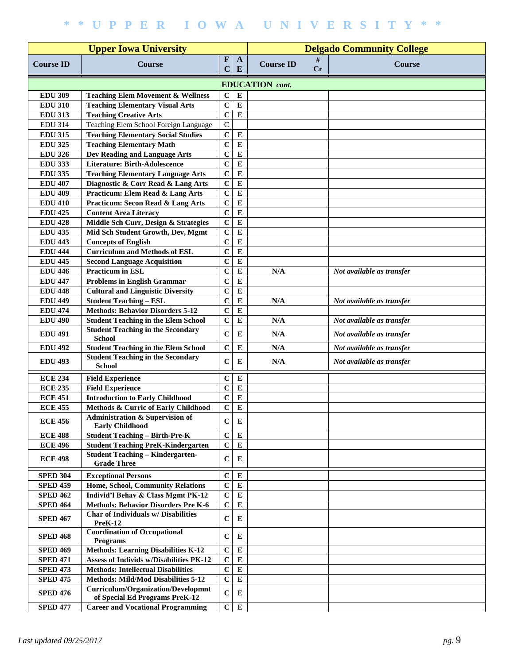|                  |                                                                      | <b>Delgado Community College</b> |                   |                  |         |                           |  |  |  |  |  |  |
|------------------|----------------------------------------------------------------------|----------------------------------|-------------------|------------------|---------|---------------------------|--|--|--|--|--|--|
| <b>Course ID</b> | <b>Course</b>                                                        | $\mathbf F$<br>$\mathbf C$       | $\mathbf{A}$<br>E | <b>Course ID</b> | #<br>Cr | <b>Course</b>             |  |  |  |  |  |  |
|                  | <b>EDUCATION</b> cont.                                               |                                  |                   |                  |         |                           |  |  |  |  |  |  |
| <b>EDU 309</b>   | <b>Teaching Elem Movement &amp; Wellness</b>                         | $\mathbf C$                      | E                 |                  |         |                           |  |  |  |  |  |  |
| <b>EDU 310</b>   | <b>Teaching Elementary Visual Arts</b>                               | $\mathbf C$                      | E                 |                  |         |                           |  |  |  |  |  |  |
| <b>EDU 313</b>   | <b>Teaching Creative Arts</b>                                        | $\mathbf C$                      | E                 |                  |         |                           |  |  |  |  |  |  |
| <b>EDU 314</b>   | Teaching Elem School Foreign Language                                | $\mathbf C$                      |                   |                  |         |                           |  |  |  |  |  |  |
| <b>EDU 315</b>   | <b>Teaching Elementary Social Studies</b>                            | $\mathbf C$                      | E                 |                  |         |                           |  |  |  |  |  |  |
| <b>EDU 325</b>   | <b>Teaching Elementary Math</b>                                      | $\mathbf C$                      | $\bf{E}$          |                  |         |                           |  |  |  |  |  |  |
| <b>EDU 326</b>   | Dev Reading and Language Arts                                        | $\mathbf C$                      | ${\bf E}$         |                  |         |                           |  |  |  |  |  |  |
| <b>EDU 333</b>   | <b>Literature: Birth-Adolescence</b>                                 | $\mathbf C$                      | E                 |                  |         |                           |  |  |  |  |  |  |
| <b>EDU 335</b>   | <b>Teaching Elementary Language Arts</b>                             | $\mathbf C$                      | E                 |                  |         |                           |  |  |  |  |  |  |
| <b>EDU 407</b>   | Diagnostic & Corr Read & Lang Arts                                   | $\mathbf C$                      | $\bf{E}$          |                  |         |                           |  |  |  |  |  |  |
| <b>EDU 409</b>   | <b>Practicum: Elem Read &amp; Lang Arts</b>                          | $\mathbf C$                      | ${\bf E}$         |                  |         |                           |  |  |  |  |  |  |
| <b>EDU 410</b>   | <b>Practicum: Secon Read &amp; Lang Arts</b>                         | $\mathbf C$                      | ${\bf E}$         |                  |         |                           |  |  |  |  |  |  |
| <b>EDU 425</b>   | <b>Content Area Literacy</b>                                         | $\overline{c}$                   | ${\bf E}$         |                  |         |                           |  |  |  |  |  |  |
| <b>EDU 428</b>   | Middle Sch Curr, Design & Strategies                                 | $\mathbf C$                      | ${\bf E}$         |                  |         |                           |  |  |  |  |  |  |
| <b>EDU 435</b>   | Mid Sch Student Growth, Dev, Mgmt                                    | $\mathbf C$                      | ${\bf E}$         |                  |         |                           |  |  |  |  |  |  |
| <b>EDU 443</b>   | <b>Concepts of English</b>                                           | $\mathbf C$                      | ${\bf E}$         |                  |         |                           |  |  |  |  |  |  |
| <b>EDU 444</b>   | <b>Curriculum and Methods of ESL</b>                                 | $\mathbf C$                      | ${\bf E}$         |                  |         |                           |  |  |  |  |  |  |
| <b>EDU 445</b>   | <b>Second Language Acquisition</b>                                   | $\mathbf C$                      | ${\bf E}$         |                  |         |                           |  |  |  |  |  |  |
| <b>EDU 446</b>   | <b>Practicum in ESL</b>                                              | $\mathbf C$                      | ${\bf E}$         | N/A              |         | Not available as transfer |  |  |  |  |  |  |
| <b>EDU 447</b>   | <b>Problems in English Grammar</b>                                   | $\mathbf C$                      | ${\bf E}$         |                  |         |                           |  |  |  |  |  |  |
| <b>EDU 448</b>   | <b>Cultural and Linguistic Diversity</b>                             | $\mathbf C$                      | ${\bf E}$         |                  |         |                           |  |  |  |  |  |  |
| <b>EDU 449</b>   | <b>Student Teaching - ESL</b>                                        | $\mathbf C$                      | E                 | N/A              |         | Not available as transfer |  |  |  |  |  |  |
| <b>EDU 474</b>   | <b>Methods: Behavior Disorders 5-12</b>                              | $\mathbf C$                      | E                 |                  |         |                           |  |  |  |  |  |  |
| <b>EDU 490</b>   | <b>Student Teaching in the Elem School</b>                           | $\mathbf C$                      | E                 | N/A              |         | Not available as transfer |  |  |  |  |  |  |
|                  | <b>Student Teaching in the Secondary</b>                             |                                  |                   |                  |         |                           |  |  |  |  |  |  |
| <b>EDU 491</b>   | <b>School</b>                                                        | $\mathbf C$                      | E                 | N/A              |         | Not available as transfer |  |  |  |  |  |  |
| <b>EDU 492</b>   | <b>Student Teaching in the Elem School</b>                           | $\mathbf C$                      | ${\bf E}$         | N/A              |         | Not available as transfer |  |  |  |  |  |  |
| <b>EDU 493</b>   | <b>Student Teaching in the Secondary</b><br><b>School</b>            | $\mathbf C$                      | E                 | N/A              |         | Not available as transfer |  |  |  |  |  |  |
| <b>ECE 234</b>   | <b>Field Experience</b>                                              | $\mathbf C$                      | ${\bf E}$         |                  |         |                           |  |  |  |  |  |  |
| <b>ECE 235</b>   | <b>Field Experience</b>                                              | $\mathbf C$                      | ${\bf E}$         |                  |         |                           |  |  |  |  |  |  |
| <b>ECE 451</b>   | <b>Introduction to Early Childhood</b>                               | $\mathbf C$                      | ${\bf E}$         |                  |         |                           |  |  |  |  |  |  |
| <b>ECE 455</b>   | Methods & Curric of Early Childhood                                  | $\mathbf C$                      | $\bf{E}$          |                  |         |                           |  |  |  |  |  |  |
| <b>ECE 456</b>   | <b>Administration &amp; Supervision of</b><br><b>Early Childhood</b> | C                                | E                 |                  |         |                           |  |  |  |  |  |  |
| <b>ECE 488</b>   | <b>Student Teaching - Birth-Pre-K</b>                                | $\mathbf C$                      | ${\bf E}$         |                  |         |                           |  |  |  |  |  |  |
| <b>ECE 496</b>   | <b>Student Teaching PreK-Kindergarten</b>                            | $\mathbf C$                      | ${\bf E}$         |                  |         |                           |  |  |  |  |  |  |
| <b>ECE 498</b>   | <b>Student Teaching - Kindergarten-</b><br><b>Grade Three</b>        | $\bf C$                          | E                 |                  |         |                           |  |  |  |  |  |  |
| <b>SPED 304</b>  | <b>Exceptional Persons</b>                                           | $\mathbf C$                      | ${\bf E}$         |                  |         |                           |  |  |  |  |  |  |
| <b>SPED 459</b>  | Home, School, Community Relations                                    | $\mathbf C$                      | ${\bf E}$         |                  |         |                           |  |  |  |  |  |  |
| <b>SPED 462</b>  | Individ'l Behav & Class Mgmt PK-12                                   | $\bf C$                          | ${\bf E}$         |                  |         |                           |  |  |  |  |  |  |
| <b>SPED 464</b>  | <b>Methods: Behavior Disorders Pre K-6</b>                           | $\mathbf C$                      | ${\bf E}$         |                  |         |                           |  |  |  |  |  |  |
| <b>SPED 467</b>  | Char of Individuals w/ Disabilities<br>PreK-12                       | $\mathbf C$                      | E                 |                  |         |                           |  |  |  |  |  |  |
| <b>SPED 468</b>  | <b>Coordination of Occupational</b><br><b>Programs</b>               | $\mathbf C$                      | E                 |                  |         |                           |  |  |  |  |  |  |
| <b>SPED 469</b>  | <b>Methods: Learning Disabilities K-12</b>                           | $\mathbf C$                      | ${\bf E}$         |                  |         |                           |  |  |  |  |  |  |
| <b>SPED 471</b>  | Assess of Individs w/Disabilities PK-12                              | $\mathbf C$                      | ${\bf E}$         |                  |         |                           |  |  |  |  |  |  |
| <b>SPED 473</b>  | <b>Methods: Intellectual Disabilities</b>                            | $\mathbf C$                      | ${\bf E}$         |                  |         |                           |  |  |  |  |  |  |
| <b>SPED 475</b>  | <b>Methods: Mild/Mod Disabilities 5-12</b>                           | $\mathbf C$                      | ${\bf E}$         |                  |         |                           |  |  |  |  |  |  |
| <b>SPED 476</b>  | <b>Curriculum/Organization/Developmnt</b>                            | $\mathbf C$                      | ${\bf E}$         |                  |         |                           |  |  |  |  |  |  |
|                  | of Special Ed Programs PreK-12                                       |                                  |                   |                  |         |                           |  |  |  |  |  |  |
| <b>SPED 477</b>  | <b>Career and Vocational Programming</b>                             | $\mathbf C$                      | ${\bf E}$         |                  |         |                           |  |  |  |  |  |  |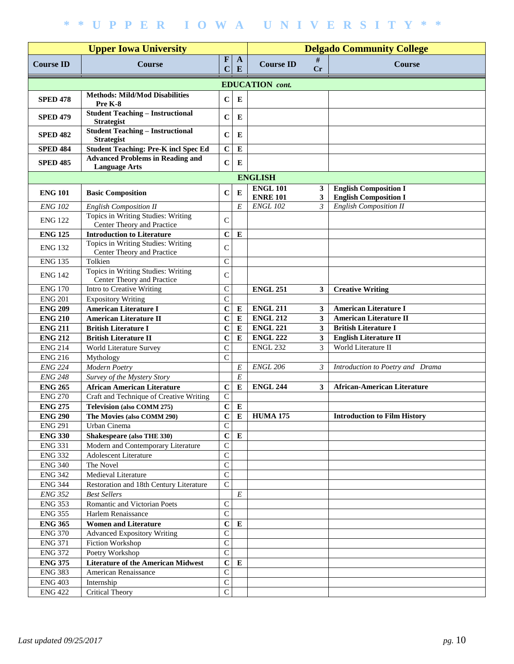|                                        |                                                                  | <b>Delgado Community College</b> |                   |                                    |                |                                                              |  |  |  |
|----------------------------------------|------------------------------------------------------------------|----------------------------------|-------------------|------------------------------------|----------------|--------------------------------------------------------------|--|--|--|
| <b>Course ID</b>                       | <b>Course</b>                                                    | $\mathbf{F}$<br>$\mathbf C$      | $\mathbf{A}$<br>E | <b>Course ID</b>                   | #<br><b>Cr</b> | <b>Course</b>                                                |  |  |  |
|                                        |                                                                  |                                  |                   | <b>EDUCATION</b> cont.             |                |                                                              |  |  |  |
| <b>SPED 478</b>                        | <b>Methods: Mild/Mod Disabilities</b><br>Pre K-8                 | $\mathbf C$                      | E                 |                                    |                |                                                              |  |  |  |
| <b>SPED 479</b>                        | <b>Student Teaching - Instructional</b><br><b>Strategist</b>     | $\mathbf C$                      | E                 |                                    |                |                                                              |  |  |  |
| <b>SPED 482</b>                        | <b>Student Teaching - Instructional</b><br><b>Strategist</b>     | $\mathbf C$                      | E                 |                                    |                |                                                              |  |  |  |
| <b>SPED 484</b>                        | <b>Student Teaching: Pre-K incl Spec Ed</b>                      | $\mathbf C$                      | E                 |                                    |                |                                                              |  |  |  |
| <b>SPED 485</b>                        | <b>Advanced Problems in Reading and</b>                          | $\mathbf C$                      | E                 |                                    |                |                                                              |  |  |  |
| <b>Language Arts</b><br><b>ENGLISH</b> |                                                                  |                                  |                   |                                    |                |                                                              |  |  |  |
|                                        |                                                                  |                                  |                   |                                    |                |                                                              |  |  |  |
| <b>ENG 101</b>                         | <b>Basic Composition</b>                                         | $\bf C$                          | E                 | <b>ENGL 101</b><br><b>ENRE 101</b> | 3<br>3         | <b>English Composition I</b><br><b>English Composition I</b> |  |  |  |
| <b>ENG 102</b>                         | <b>English Composition II</b>                                    |                                  | E                 | <b>ENGL 102</b>                    | $\mathfrak{Z}$ | <b>English Composition II</b>                                |  |  |  |
| <b>ENG 122</b>                         | Topics in Writing Studies: Writing<br>Center Theory and Practice | $\mathsf{C}$                     |                   |                                    |                |                                                              |  |  |  |
| <b>ENG 125</b>                         | <b>Introduction to Literature</b>                                | $\mathbf C$                      | ${\bf E}$         |                                    |                |                                                              |  |  |  |
| <b>ENG 132</b>                         | Topics in Writing Studies: Writing<br>Center Theory and Practice | $\mathsf{C}$                     |                   |                                    |                |                                                              |  |  |  |
| <b>ENG 135</b>                         | Tolkien                                                          | $\mathsf{C}$                     |                   |                                    |                |                                                              |  |  |  |
| <b>ENG 142</b>                         | Topics in Writing Studies: Writing<br>Center Theory and Practice | $\mathsf{C}$                     |                   |                                    |                |                                                              |  |  |  |
| <b>ENG 170</b>                         | Intro to Creative Writing                                        | $\mathsf{C}$                     |                   | <b>ENGL 251</b>                    | 3              | <b>Creative Writing</b>                                      |  |  |  |
| <b>ENG 201</b>                         | <b>Expository Writing</b>                                        | $\mathbf C$                      |                   |                                    |                |                                                              |  |  |  |
| <b>ENG 209</b>                         | <b>American Literature I</b>                                     | $\mathbf C$                      | ${\bf E}$         | <b>ENGL 211</b>                    | $\mathbf{3}$   | <b>American Literature I</b>                                 |  |  |  |
| <b>ENG 210</b>                         | <b>American Literature II</b>                                    | $\mathbf C$                      | ${\bf E}$         | <b>ENGL 212</b>                    | 3              | <b>American Literature II</b>                                |  |  |  |
| <b>ENG 211</b>                         | <b>British Literature I</b>                                      | $\mathbf C$                      | ${\bf E}$         | <b>ENGL 221</b>                    | $\mathbf{3}$   | <b>British Literature I</b>                                  |  |  |  |
| <b>ENG 212</b>                         | <b>British Literature II</b>                                     | $\mathbf C$                      | ${\bf E}$         | <b>ENGL 222</b>                    | 3              | <b>English Literature II</b>                                 |  |  |  |
| <b>ENG 214</b>                         | World Literature Survey                                          | $\mathbf C$                      |                   | <b>ENGL 232</b>                    | 3              | World Literature II                                          |  |  |  |
| <b>ENG 216</b>                         | Mythology                                                        | $\mathbf C$                      |                   |                                    |                |                                                              |  |  |  |
| <b>ENG 224</b>                         | Modern Poetry                                                    |                                  | E                 | <b>ENGL 206</b>                    | 3              | Introduction to Poetry and Drama                             |  |  |  |
| <b>ENG 248</b>                         | Survey of the Mystery Story                                      |                                  | E                 |                                    |                |                                                              |  |  |  |
| <b>ENG 265</b>                         | <b>African American Literature</b>                               | $\mathbf C$                      | ${\bf E}$         | <b>ENGL 244</b>                    | 3              | <b>African-American Literature</b>                           |  |  |  |
| <b>ENG 270</b>                         | Craft and Technique of Creative Writing                          | $\mathbf C$                      |                   |                                    |                |                                                              |  |  |  |
| <b>ENG 275</b>                         | <b>Television (also COMM 275)</b>                                | $\bf C$                          | E                 |                                    |                |                                                              |  |  |  |
| <b>ENG 290</b>                         | The Movies (also COMM 290)                                       | $\mathbf C$                      | $\bf{E}$          | <b>HUMA 175</b>                    |                | <b>Introduction to Film History</b>                          |  |  |  |
| <b>ENG 291</b>                         | Urban Cinema                                                     | $\mathbf C$                      |                   |                                    |                |                                                              |  |  |  |
| <b>ENG 330</b>                         | Shakespeare (also THE 330)                                       | $\mathbf C$                      | ${\bf E}$         |                                    |                |                                                              |  |  |  |
| <b>ENG 331</b>                         | Modern and Contemporary Literature                               | ${\bf C}$                        |                   |                                    |                |                                                              |  |  |  |
| <b>ENG 332</b>                         | <b>Adolescent Literature</b>                                     | $\overline{C}$                   |                   |                                    |                |                                                              |  |  |  |
| <b>ENG 340</b>                         | The Novel                                                        | $\overline{C}$                   |                   |                                    |                |                                                              |  |  |  |
| <b>ENG 342</b>                         | Medieval Literature                                              | $\overline{C}$                   |                   |                                    |                |                                                              |  |  |  |
| <b>ENG 344</b>                         | Restoration and 18th Century Literature                          | $\overline{C}$                   |                   |                                    |                |                                                              |  |  |  |
| <b>ENG 352</b>                         | <b>Best Sellers</b>                                              |                                  | $\cal E$          |                                    |                |                                                              |  |  |  |
| <b>ENG 353</b>                         | Romantic and Victorian Poets                                     | ${\bf C}$                        |                   |                                    |                |                                                              |  |  |  |
| <b>ENG 355</b>                         | Harlem Renaissance                                               | $\mathbf C$                      |                   |                                    |                |                                                              |  |  |  |
| <b>ENG 365</b>                         | <b>Women and Literature</b>                                      | $\mathbf C$                      | ${\bf E}$         |                                    |                |                                                              |  |  |  |
| <b>ENG 370</b>                         | <b>Advanced Expository Writing</b>                               | $\mathsf C$                      |                   |                                    |                |                                                              |  |  |  |
| <b>ENG 371</b><br><b>ENG 372</b>       | Fiction Workshop                                                 | ${\bf C}$<br>$\mathsf C$         |                   |                                    |                |                                                              |  |  |  |
| <b>ENG 375</b>                         | Poetry Workshop<br><b>Literature of the American Midwest</b>     | $\mathbf C$                      | E                 |                                    |                |                                                              |  |  |  |
| <b>ENG 383</b>                         | American Renaissance                                             | $\mathsf C$                      |                   |                                    |                |                                                              |  |  |  |
| <b>ENG 403</b>                         | Internship                                                       | $\mathsf C$                      |                   |                                    |                |                                                              |  |  |  |
| <b>ENG 422</b>                         | <b>Critical Theory</b>                                           | $\overline{C}$                   |                   |                                    |                |                                                              |  |  |  |
|                                        |                                                                  |                                  |                   |                                    |                |                                                              |  |  |  |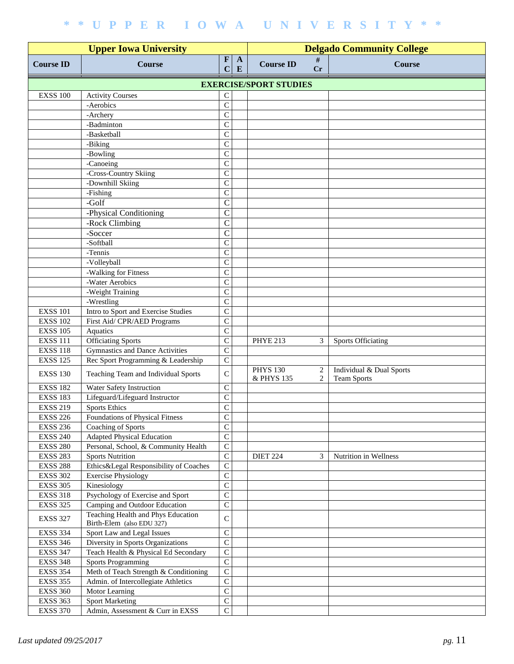| <b>Upper Iowa University</b>  |                                                                 |                             |                   | <b>Delgado Community College</b> |         |                                                |  |  |  |  |
|-------------------------------|-----------------------------------------------------------------|-----------------------------|-------------------|----------------------------------|---------|------------------------------------------------|--|--|--|--|
| <b>Course ID</b>              | <b>Course</b>                                                   | $\mathbf{F}$<br>$\mathbf C$ | $\mathbf{A}$<br>E | <b>Course ID</b>                 | #<br>Cr | <b>Course</b>                                  |  |  |  |  |
| <b>EXERCISE/SPORT STUDIES</b> |                                                                 |                             |                   |                                  |         |                                                |  |  |  |  |
| <b>EXSS 100</b>               | <b>Activity Courses</b>                                         | C                           |                   |                                  |         |                                                |  |  |  |  |
|                               | -Aerobics                                                       | $\mathsf{C}$                |                   |                                  |         |                                                |  |  |  |  |
|                               | -Archery                                                        | $\mathsf{C}$                |                   |                                  |         |                                                |  |  |  |  |
|                               | -Badminton                                                      | $\mathsf{C}$                |                   |                                  |         |                                                |  |  |  |  |
|                               | -Basketball                                                     | $\mathsf{C}$                |                   |                                  |         |                                                |  |  |  |  |
|                               | -Biking                                                         | $\mathsf{C}$                |                   |                                  |         |                                                |  |  |  |  |
|                               | -Bowling                                                        | $\mathsf{C}$                |                   |                                  |         |                                                |  |  |  |  |
|                               | -Canoeing                                                       | $\mathsf{C}$                |                   |                                  |         |                                                |  |  |  |  |
|                               | -Cross-Country Skiing                                           | $\overline{C}$              |                   |                                  |         |                                                |  |  |  |  |
|                               | -Downhill Skiing                                                | $\overline{C}$              |                   |                                  |         |                                                |  |  |  |  |
|                               | -Fishing                                                        | $\mathsf{C}$                |                   |                                  |         |                                                |  |  |  |  |
|                               | -Golf                                                           | $\mathsf{C}$                |                   |                                  |         |                                                |  |  |  |  |
|                               | -Physical Conditioning                                          | $\mathsf{C}$                |                   |                                  |         |                                                |  |  |  |  |
|                               | -Rock Climbing                                                  | $\mathcal{C}$               |                   |                                  |         |                                                |  |  |  |  |
|                               | -Soccer                                                         | $\overline{C}$              |                   |                                  |         |                                                |  |  |  |  |
|                               | -Softball                                                       | $\mathsf{C}$                |                   |                                  |         |                                                |  |  |  |  |
|                               | -Tennis                                                         | $\mathsf{C}$                |                   |                                  |         |                                                |  |  |  |  |
|                               | -Volleyball                                                     | $\mathsf{C}$                |                   |                                  |         |                                                |  |  |  |  |
|                               | -Walking for Fitness                                            | $\mathsf{C}$                |                   |                                  |         |                                                |  |  |  |  |
|                               | -Water Aerobics                                                 | $\mathsf{C}$                |                   |                                  |         |                                                |  |  |  |  |
|                               | -Weight Training                                                | $\mathsf{C}$                |                   |                                  |         |                                                |  |  |  |  |
|                               | -Wrestling                                                      | $\overline{C}$              |                   |                                  |         |                                                |  |  |  |  |
| <b>EXSS 101</b>               | Intro to Sport and Exercise Studies                             | $\mathsf{C}$                |                   |                                  |         |                                                |  |  |  |  |
| <b>EXSS 102</b>               | First Aid/ CPR/AED Programs                                     | $\mathsf{C}$                |                   |                                  |         |                                                |  |  |  |  |
| <b>EXSS 105</b>               | Aquatics                                                        | $\overline{C}$              |                   |                                  |         |                                                |  |  |  |  |
| <b>EXSS 111</b>               | <b>Officiating Sports</b>                                       | $\mathsf{C}$                |                   | <b>PHYE 213</b>                  | 3       | <b>Sports Officiating</b>                      |  |  |  |  |
| <b>EXSS 118</b>               | <b>Gymnastics and Dance Activities</b>                          | $\mathsf{C}$                |                   |                                  |         |                                                |  |  |  |  |
| <b>EXSS 125</b>               | Rec Sport Programming & Leadership                              | $\mathsf{C}$                |                   |                                  |         |                                                |  |  |  |  |
| <b>EXSS 130</b>               | Teaching Team and Individual Sports                             | $\mathsf{C}$                |                   | <b>PHYS 130</b><br>& PHYS 135    | 2<br>2  | Individual & Dual Sports<br><b>Team Sports</b> |  |  |  |  |
| <b>EXSS 182</b>               | Water Safety Instruction                                        | $\mathsf{C}$                |                   |                                  |         |                                                |  |  |  |  |
| <b>EXSS 183</b>               | Lifeguard/Lifeguard Instructor                                  | $\mathsf{C}$                |                   |                                  |         |                                                |  |  |  |  |
| <b>EXSS 219</b>               | <b>Sports Ethics</b>                                            | $\mathsf{C}$                |                   |                                  |         |                                                |  |  |  |  |
| <b>EXSS 226</b>               | <b>Foundations of Physical Fitness</b>                          | $\overline{C}$              |                   |                                  |         |                                                |  |  |  |  |
| <b>EXSS 236</b>               | Coaching of Sports                                              | $\overline{C}$              |                   |                                  |         |                                                |  |  |  |  |
| <b>EXSS 240</b>               | <b>Adapted Physical Education</b>                               | $\overline{C}$              |                   |                                  |         |                                                |  |  |  |  |
| <b>EXSS 280</b>               | Personal, School, & Community Health                            | $\overline{C}$              |                   |                                  |         |                                                |  |  |  |  |
| <b>EXSS 283</b>               | <b>Sports Nutrition</b>                                         | $\overline{C}$              |                   | <b>DIET 224</b>                  | 3       | Nutrition in Wellness                          |  |  |  |  |
| <b>EXSS 288</b>               | Ethics&Legal Responsibility of Coaches                          | $\mathbf C$                 |                   |                                  |         |                                                |  |  |  |  |
| <b>EXSS 302</b>               | <b>Exercise Physiology</b>                                      | $\mathbf C$                 |                   |                                  |         |                                                |  |  |  |  |
| <b>EXSS 305</b>               | Kinesiology                                                     | $\overline{C}$              |                   |                                  |         |                                                |  |  |  |  |
| <b>EXSS 318</b>               | Psychology of Exercise and Sport                                | $\overline{C}$              |                   |                                  |         |                                                |  |  |  |  |
| <b>EXSS 325</b>               | Camping and Outdoor Education                                   | $\mathbf C$                 |                   |                                  |         |                                                |  |  |  |  |
| <b>EXSS 327</b>               | Teaching Health and Phys Education<br>Birth-Elem (also EDU 327) | $\mathsf{C}$                |                   |                                  |         |                                                |  |  |  |  |
| <b>EXSS 334</b>               | Sport Law and Legal Issues                                      | $\mathsf{C}$                |                   |                                  |         |                                                |  |  |  |  |
| <b>EXSS 346</b>               | Diversity in Sports Organizations                               | $\overline{C}$              |                   |                                  |         |                                                |  |  |  |  |
| <b>EXSS 347</b>               | Teach Health & Physical Ed Secondary                            | $\overline{C}$              |                   |                                  |         |                                                |  |  |  |  |
| <b>EXSS 348</b>               | <b>Sports Programming</b>                                       | $\overline{C}$              |                   |                                  |         |                                                |  |  |  |  |
| <b>EXSS 354</b>               | Meth of Teach Strength & Conditioning                           | $\mathbf C$                 |                   |                                  |         |                                                |  |  |  |  |
| <b>EXSS 355</b>               | Admin. of Intercollegiate Athletics                             | $\mathbf C$                 |                   |                                  |         |                                                |  |  |  |  |
| <b>EXSS 360</b>               | Motor Learning                                                  | $\mathsf{C}$                |                   |                                  |         |                                                |  |  |  |  |
| <b>EXSS 363</b>               | <b>Sport Marketing</b>                                          | $\overline{C}$              |                   |                                  |         |                                                |  |  |  |  |
| <b>EXSS 370</b>               | Admin, Assessment & Curr in EXSS                                | $\mathbf C$                 |                   |                                  |         |                                                |  |  |  |  |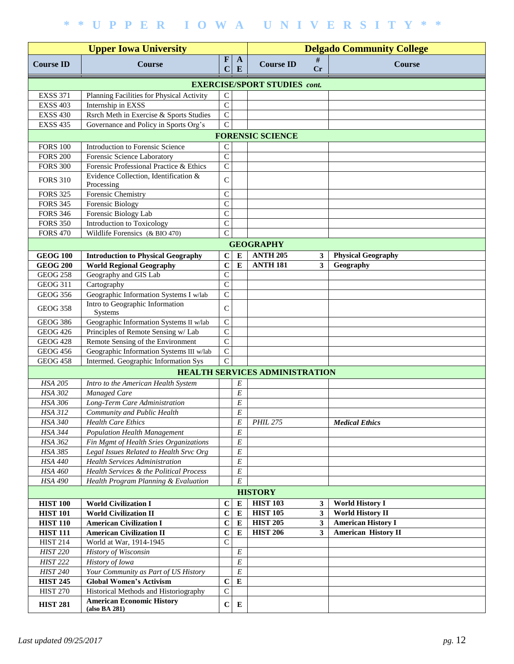| <b>Upper Iowa University</b>        |                                                   |                             |                   | <b>Delgado Community College</b>      |              |                            |  |  |  |  |
|-------------------------------------|---------------------------------------------------|-----------------------------|-------------------|---------------------------------------|--------------|----------------------------|--|--|--|--|
| <b>Course ID</b>                    | <b>Course</b>                                     | $\mathbf{F}$<br>$\mathbf C$ | $\mathbf{A}$<br>E | <b>Course ID</b>                      | #<br>Cr      | <b>Course</b>              |  |  |  |  |
| <b>EXERCISE/SPORT STUDIES cont.</b> |                                                   |                             |                   |                                       |              |                            |  |  |  |  |
| <b>EXSS 371</b>                     | Planning Facilities for Physical Activity         | $\mathsf{C}$                |                   |                                       |              |                            |  |  |  |  |
| <b>EXSS 403</b>                     | Internship in EXSS                                | $\overline{C}$              |                   |                                       |              |                            |  |  |  |  |
| <b>EXSS 430</b>                     | Rsrch Meth in Exercise & Sports Studies           | $\overline{C}$              |                   |                                       |              |                            |  |  |  |  |
| <b>EXSS 435</b>                     | Governance and Policy in Sports Org's             | $\overline{C}$              |                   |                                       |              |                            |  |  |  |  |
|                                     |                                                   |                             |                   | <b>FORENSIC SCIENCE</b>               |              |                            |  |  |  |  |
| <b>FORS 100</b>                     | Introduction to Forensic Science                  | $\mathsf C$                 |                   |                                       |              |                            |  |  |  |  |
| <b>FORS 200</b>                     | Forensic Science Laboratory                       | $\mathbf C$                 |                   |                                       |              |                            |  |  |  |  |
| <b>FORS 300</b>                     | Forensic Professional Practice & Ethics           | $\mathsf C$                 |                   |                                       |              |                            |  |  |  |  |
|                                     | Evidence Collection, Identification &             |                             |                   |                                       |              |                            |  |  |  |  |
| <b>FORS 310</b>                     | Processing                                        | $\mathsf{C}$                |                   |                                       |              |                            |  |  |  |  |
| <b>FORS 325</b>                     | Forensic Chemistry                                | $\mathsf{C}$                |                   |                                       |              |                            |  |  |  |  |
| <b>FORS 345</b>                     | <b>Forensic Biology</b>                           | $\mathbf C$                 |                   |                                       |              |                            |  |  |  |  |
| <b>FORS 346</b>                     | Forensic Biology Lab                              | $\mathsf{C}$                |                   |                                       |              |                            |  |  |  |  |
| <b>FORS 350</b>                     | Introduction to Toxicology                        | $\mathsf{C}$                |                   |                                       |              |                            |  |  |  |  |
| <b>FORS 470</b>                     | Wildlife Forensics (& BIO 470)                    | $\mathbf C$                 |                   |                                       |              |                            |  |  |  |  |
|                                     |                                                   |                             |                   | <b>GEOGRAPHY</b>                      |              |                            |  |  |  |  |
| <b>GEOG 100</b>                     | <b>Introduction to Physical Geography</b>         | $\mathbf C$                 | $\bf{E}$          | <b>ANTH 205</b>                       | 3            | <b>Physical Geography</b>  |  |  |  |  |
| <b>GEOG 200</b>                     | <b>World Regional Geography</b>                   | $\mathbf C$                 | $\bf{E}$          | <b>ANTH 181</b>                       | $\mathbf{3}$ | Geography                  |  |  |  |  |
| <b>GEOG 258</b>                     | Geography and GIS Lab                             | $\mathsf{C}$                |                   |                                       |              |                            |  |  |  |  |
| <b>GEOG 311</b>                     | Cartography                                       | $\mathsf{C}$                |                   |                                       |              |                            |  |  |  |  |
| <b>GEOG 356</b>                     | Geographic Information Systems I w/lab            | $\mathbf C$                 |                   |                                       |              |                            |  |  |  |  |
|                                     | Intro to Geographic Information                   |                             |                   |                                       |              |                            |  |  |  |  |
| <b>GEOG 358</b>                     | Systems                                           | $\mathsf{C}$                |                   |                                       |              |                            |  |  |  |  |
| <b>GEOG 386</b>                     | Geographic Information Systems II w/lab           | $\mathsf{C}$                |                   |                                       |              |                            |  |  |  |  |
| <b>GEOG 426</b>                     | Principles of Remote Sensing w/ Lab               | $\mathsf{C}$                |                   |                                       |              |                            |  |  |  |  |
| <b>GEOG 428</b>                     | Remote Sensing of the Environment                 | $\mathsf{C}$                |                   |                                       |              |                            |  |  |  |  |
| <b>GEOG 456</b>                     | Geographic Information Systems III w/lab          | $\mathbf C$                 |                   |                                       |              |                            |  |  |  |  |
| <b>GEOG 458</b>                     | Intermed. Geographic Information Sys              | $\mathcal{C}$               |                   |                                       |              |                            |  |  |  |  |
|                                     |                                                   |                             |                   | <b>HEALTH SERVICES ADMINISTRATION</b> |              |                            |  |  |  |  |
| <b>HSA 205</b>                      | Intro to the American Health System               |                             | E                 |                                       |              |                            |  |  |  |  |
| HSA 302                             | Managed Care                                      |                             | E                 |                                       |              |                            |  |  |  |  |
| HSA 306                             | Long-Term Care Administration                     |                             | E                 |                                       |              |                            |  |  |  |  |
| <b>HSA 312</b>                      | Community and Public Health                       |                             | $\cal E$          |                                       |              |                            |  |  |  |  |
| HSA 340                             | <b>Health Care Ethics</b>                         |                             | E                 | <b>PHIL 275</b>                       |              | <b>Medical Ethics</b>      |  |  |  |  |
| <b>HSA 344</b>                      | Population Health Management                      |                             | $\cal E$          |                                       |              |                            |  |  |  |  |
| <b>HSA 362</b>                      | Fin Mgmt of Health Sries Organizations            |                             | E                 |                                       |              |                            |  |  |  |  |
| HSA 385                             | Legal Issues Related to Health Srvc Org           |                             | E                 |                                       |              |                            |  |  |  |  |
| <b>HSA 440</b>                      | <b>Health Services Administration</b>             |                             | $\cal E$          |                                       |              |                            |  |  |  |  |
| <b>HSA 460</b>                      | Health Services & the Political Process           |                             | $\cal E$          |                                       |              |                            |  |  |  |  |
| <b>HSA 490</b>                      | Health Program Planning & Evaluation              |                             | E                 |                                       |              |                            |  |  |  |  |
|                                     |                                                   |                             |                   | <b>HISTORY</b>                        |              |                            |  |  |  |  |
| <b>HIST 100</b>                     | <b>World Civilization I</b>                       | $\bf C$                     | E                 | <b>HIST 103</b>                       | 3            | <b>World History I</b>     |  |  |  |  |
| <b>HIST 101</b>                     | <b>World Civilization II</b>                      | $\mathbf C$                 | ${\bf E}$         | <b>HIST 105</b>                       | $\mathbf{3}$ | <b>World History II</b>    |  |  |  |  |
| <b>HIST 110</b>                     | <b>American Civilization I</b>                    | $\mathbf C$                 | E                 | <b>HIST 205</b>                       | 3            | <b>American History I</b>  |  |  |  |  |
| <b>HIST 111</b>                     | <b>American Civilization II</b>                   | $\mathbf C$                 | E                 | <b>HIST 206</b>                       | $\mathbf{3}$ | <b>American History II</b> |  |  |  |  |
| <b>HIST 214</b>                     | World at War, 1914-1945                           | $\mathsf{C}$                |                   |                                       |              |                            |  |  |  |  |
| <b>HIST 220</b>                     | History of Wisconsin                              |                             | E                 |                                       |              |                            |  |  |  |  |
| <b>HIST 222</b>                     | History of Iowa                                   |                             | E                 |                                       |              |                            |  |  |  |  |
| <b>HIST 240</b>                     | Your Community as Part of US History              |                             | $\cal E$          |                                       |              |                            |  |  |  |  |
| <b>HIST 245</b>                     | <b>Global Women's Activism</b>                    | $\bf C$                     | ${\bf E}$         |                                       |              |                            |  |  |  |  |
| <b>HIST 270</b>                     | Historical Methods and Historiography             | $\overline{C}$              |                   |                                       |              |                            |  |  |  |  |
| <b>HIST 281</b>                     | <b>American Economic History</b><br>(also BA 281) | $\mathbf C$                 | $\bf{E}$          |                                       |              |                            |  |  |  |  |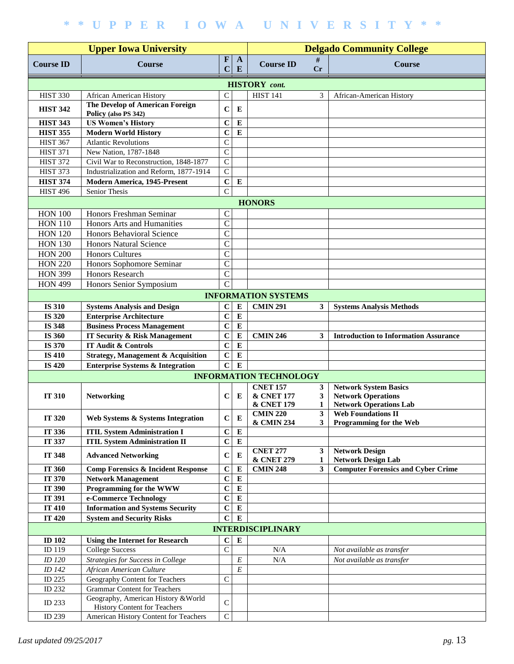|                                |                                                                      | <b>Delgado Community College</b> |                   |                                                |                   |                                                            |
|--------------------------------|----------------------------------------------------------------------|----------------------------------|-------------------|------------------------------------------------|-------------------|------------------------------------------------------------|
| <b>Course ID</b>               | <b>Course</b>                                                        | $\mathbf F$<br>$\mathbf C$       | $\mathbf{A}$<br>E | <b>Course ID</b>                               | #<br>Cr           | <b>Course</b>                                              |
|                                |                                                                      |                                  |                   | <b>HISTORY</b> cont.                           |                   |                                                            |
| <b>HIST 330</b>                | African American History                                             | $\mathsf{C}$                     |                   | <b>HIST 141</b>                                | 3                 | African-American History                                   |
| <b>HIST 342</b>                | <b>The Develop of American Foreign</b><br>Policy (also PS 342)       | $\mathbf C$                      | E                 |                                                |                   |                                                            |
| <b>HIST 343</b>                | <b>US Women's History</b>                                            | $\mathbf C$                      | ${\bf E}$         |                                                |                   |                                                            |
| <b>HIST 355</b>                | <b>Modern World History</b>                                          | $\mathbf C$                      | ${\bf E}$         |                                                |                   |                                                            |
| <b>HIST 367</b>                | <b>Atlantic Revolutions</b>                                          | $\mathsf{C}$                     |                   |                                                |                   |                                                            |
| <b>HIST 371</b>                | New Nation, 1787-1848                                                | $\mathbf C$                      |                   |                                                |                   |                                                            |
| <b>HIST 372</b>                | Civil War to Reconstruction, 1848-1877                               | $\mathsf{C}$                     |                   |                                                |                   |                                                            |
| <b>HIST 373</b>                | Industrialization and Reform, 1877-1914                              | $\mathbf C$                      |                   |                                                |                   |                                                            |
| <b>HIST 374</b>                | <b>Modern America, 1945-Present</b>                                  | $\mathbf C$                      | ${\bf E}$         |                                                |                   |                                                            |
| <b>HIST 496</b>                | Senior Thesis                                                        | $\mathcal{C}$                    |                   |                                                |                   |                                                            |
|                                |                                                                      |                                  |                   | <b>HONORS</b>                                  |                   |                                                            |
| <b>HON 100</b>                 | Honors Freshman Seminar                                              | $\mathcal{C}$                    |                   |                                                |                   |                                                            |
| <b>HON 110</b>                 | Honors Arts and Humanities                                           | $\mathcal{C}$                    |                   |                                                |                   |                                                            |
| <b>HON 120</b>                 | Honors Behavioral Science                                            | $\mathcal{C}$                    |                   |                                                |                   |                                                            |
| <b>HON 130</b>                 | <b>Honors Natural Science</b>                                        | $\mathcal{C}$                    |                   |                                                |                   |                                                            |
| <b>HON 200</b>                 | <b>Honors Cultures</b>                                               | $\mathcal{C}$                    |                   |                                                |                   |                                                            |
| <b>HON 220</b>                 | Honors Sophomore Seminar                                             | $\mathcal{C}$                    |                   |                                                |                   |                                                            |
| <b>HON 399</b>                 | <b>Honors Research</b>                                               | $\mathcal{C}$                    |                   |                                                |                   |                                                            |
| <b>HON 499</b>                 | Honors Senior Symposium                                              | $\mathcal{C}$                    |                   |                                                |                   |                                                            |
|                                |                                                                      |                                  |                   | <b>INFORMATION SYSTEMS</b>                     |                   |                                                            |
|                                |                                                                      |                                  |                   |                                                |                   |                                                            |
| <b>IS 310</b>                  | <b>Systems Analysis and Design</b>                                   | $\mathbf C$                      | E<br>${\bf E}$    | <b>CMIN 291</b>                                | $\mathbf{3}$      | <b>Systems Analysis Methods</b>                            |
| <b>IS 320</b>                  | <b>Enterprise Architecture</b><br><b>Business Process Management</b> | $\mathbf C$                      | E                 |                                                |                   |                                                            |
| <b>IS 348</b><br><b>IS 360</b> | <b>IT Security &amp; Risk Management</b>                             | $\mathbf C$<br>$\mathbf C$       | E                 | <b>CMIN 246</b>                                | 3                 | <b>Introduction to Information Assurance</b>               |
| IS 370                         | IT Audit & Controls                                                  | $\mathbf C$                      | E                 |                                                |                   |                                                            |
| <b>IS 410</b>                  | <b>Strategy, Management &amp; Acquisition</b>                        | $\mathbf C$                      | E                 |                                                |                   |                                                            |
| <b>IS 420</b>                  | <b>Enterprise Systems &amp; Integration</b>                          | $\mathbf C$                      | $\bf{E}$          |                                                |                   |                                                            |
|                                |                                                                      |                                  |                   | <b>INFORMATION TECHNOLOGY</b>                  |                   |                                                            |
|                                |                                                                      |                                  |                   | <b>CNET 157</b>                                | 3                 | <b>Network System Basics</b>                               |
| <b>IT 310</b>                  | <b>Networking</b>                                                    | C                                | E                 | <b>&amp; CNET 177</b><br><b>&amp; CNET 179</b> | 3<br>1            | <b>Network Operations</b><br><b>Network Operations Lab</b> |
| IT 320                         | Web Systems & Systems Integration                                    | $\bf C$                          | $\bf E$           | <b>CMIN 220</b><br><b>&amp; CMIN 234</b>       | $\mathbf{3}$<br>3 | <b>Web Foundations II</b><br>Programming for the Web       |
| IT 336                         | <b>ITIL System Administration I</b>                                  | $\mathbf C$                      | ${\bf E}$         |                                                |                   |                                                            |
| IT 337                         | <b>ITIL System Administration II</b>                                 | $\mathbf C$                      | ${\bf E}$         |                                                |                   |                                                            |
| IT 348                         | <b>Advanced Networking</b>                                           | $\mathbf C$                      | E                 | <b>CNET 277</b><br><b>&amp; CNET 279</b>       | $\mathbf{3}$<br>1 | <b>Network Design</b><br><b>Network Design Lab</b>         |
| IT 360                         | <b>Comp Forensics &amp; Incident Response</b>                        | $\mathbf C$                      | E                 | <b>CMIN 248</b>                                | $\mathbf{3}$      | <b>Computer Forensics and Cyber Crime</b>                  |
| <b>IT 370</b>                  | <b>Network Management</b>                                            | $\mathbf C$                      | ${\bf E}$         |                                                |                   |                                                            |
| IT 390                         | Programming for the WWW                                              | $\mathbf C$                      | ${\bf E}$         |                                                |                   |                                                            |
| IT 391                         | e-Commerce Technology                                                | $\mathbf C$                      | ${\bf E}$         |                                                |                   |                                                            |
| <b>IT 410</b>                  | <b>Information and Systems Security</b>                              | $\mathbf C$                      | ${\bf E}$         |                                                |                   |                                                            |
| <b>IT 420</b>                  | <b>System and Security Risks</b>                                     | $\mathbf C$                      | E                 |                                                |                   |                                                            |
|                                |                                                                      |                                  |                   | <b>INTERDISCIPLINARY</b>                       |                   |                                                            |
| <b>ID 102</b>                  | <b>Using the Internet for Research</b>                               | $\bf C$                          | ${\bf E}$         |                                                |                   |                                                            |
| ID 119                         | <b>College Success</b>                                               | $\mathbf C$                      |                   | $\rm N/A$                                      |                   | Not available as transfer                                  |
| <i>ID</i> 120                  | Strategies for Success in College                                    |                                  | $\cal E$          | N/A                                            |                   | Not available as transfer                                  |
| ID 142                         | African American Culture                                             |                                  | $\cal E$          |                                                |                   |                                                            |
| ID 225                         | Geography Content for Teachers                                       | $\mathsf{C}$                     |                   |                                                |                   |                                                            |
| ID 232                         | <b>Grammar Content for Teachers</b>                                  |                                  |                   |                                                |                   |                                                            |
| ID 233                         | Geography, American History & World                                  | $\mathsf{C}$                     |                   |                                                |                   |                                                            |
|                                | <b>History Content for Teachers</b>                                  |                                  |                   |                                                |                   |                                                            |
| ID 239                         | American History Content for Teachers                                | ${\bf C}$                        |                   |                                                |                   |                                                            |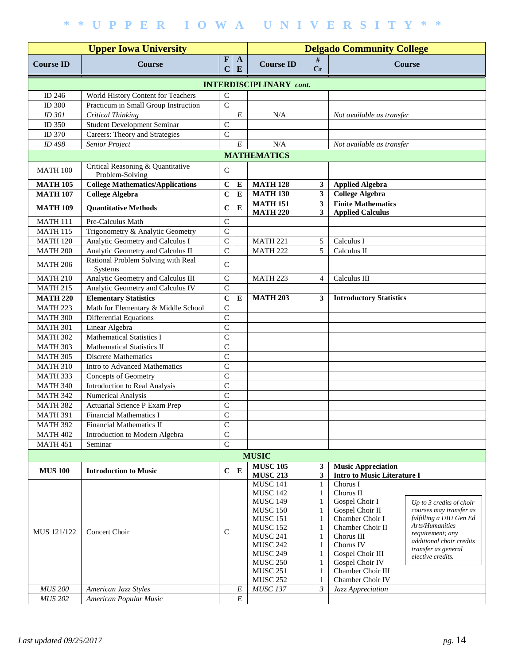|                                    | <b>Delgado Community College</b>                      |                                  |                   |                                    |                              |                                                      |                                                       |  |  |  |
|------------------------------------|-------------------------------------------------------|----------------------------------|-------------------|------------------------------------|------------------------------|------------------------------------------------------|-------------------------------------------------------|--|--|--|
| <b>Course ID</b>                   | <b>Course</b>                                         | $\mathbf F$<br>$\mathbf C$       | $\mathbf{A}$<br>E | <b>Course ID</b>                   | #<br>Cr                      |                                                      | <b>Course</b>                                         |  |  |  |
| <b>INTERDISCIPLINARY</b> cont.     |                                                       |                                  |                   |                                    |                              |                                                      |                                                       |  |  |  |
| ID 246                             | World History Content for Teachers                    | $\mathsf{C}$                     |                   |                                    |                              |                                                      |                                                       |  |  |  |
| ID 300                             | Practicum in Small Group Instruction                  | $\mathsf{C}$                     |                   |                                    |                              |                                                      |                                                       |  |  |  |
| ID 301                             | <b>Critical Thinking</b>                              |                                  | $\cal E$          | N/A                                |                              | Not available as transfer                            |                                                       |  |  |  |
| ID 350                             | <b>Student Development Seminar</b>                    | $\mathsf{C}$                     |                   |                                    |                              |                                                      |                                                       |  |  |  |
| ID 370                             | Careers: Theory and Strategies                        | $\overline{C}$                   |                   |                                    |                              |                                                      |                                                       |  |  |  |
| ID 498                             | Senior Project                                        |                                  | $\cal E$          | N/A                                |                              | Not available as transfer                            |                                                       |  |  |  |
|                                    |                                                       |                                  |                   | <b>MATHEMATICS</b>                 |                              |                                                      |                                                       |  |  |  |
| <b>MATH 100</b>                    | Critical Reasoning & Quantitative<br>Problem-Solving  | $\mathsf{C}$                     |                   |                                    |                              |                                                      |                                                       |  |  |  |
| <b>MATH 105</b>                    | <b>College Mathematics/Applications</b>               | $\mathbf C$                      | E                 | <b>MATH 128</b>                    | $\mathbf{3}$                 | <b>Applied Algebra</b>                               |                                                       |  |  |  |
| <b>MATH 107</b>                    | College Algebra                                       | $\mathbf C$                      | ${\bf E}$         | <b>MATH 130</b>                    | $\overline{\mathbf{3}}$      | <b>College Algebra</b>                               |                                                       |  |  |  |
| <b>MATH 109</b>                    | <b>Quantitative Methods</b>                           | $\mathbf C$                      | E                 | <b>MATH 151</b><br><b>MATH 220</b> | $\mathbf{3}$<br>$\mathbf{3}$ | <b>Finite Mathematics</b><br><b>Applied Calculus</b> |                                                       |  |  |  |
| <b>MATH 111</b>                    | Pre-Calculus Math                                     | $\mathsf{C}$                     |                   |                                    |                              |                                                      |                                                       |  |  |  |
| <b>MATH 115</b>                    | Trigonometry & Analytic Geometry                      | $\mathsf{C}$                     |                   |                                    |                              |                                                      |                                                       |  |  |  |
| <b>MATH 120</b>                    | Analytic Geometry and Calculus I                      | $\mathsf{C}$                     |                   | <b>MATH 221</b>                    | 5                            | Calculus I                                           |                                                       |  |  |  |
| <b>MATH 200</b>                    | Analytic Geometry and Calculus II                     | $\mathcal{C}$                    |                   | <b>MATH 222</b>                    | 5                            | Calculus II                                          |                                                       |  |  |  |
| <b>MATH 206</b>                    | Rational Problem Solving with Real<br>Systems         | $\mathsf{C}$                     |                   |                                    |                              |                                                      |                                                       |  |  |  |
| <b>MATH 210</b>                    | Analytic Geometry and Calculus III                    | $\mathsf{C}$                     |                   | <b>MATH 223</b>                    | $\overline{4}$               | Calculus III                                         |                                                       |  |  |  |
| <b>MATH 215</b>                    | Analytic Geometry and Calculus IV                     | $\mathbf C$                      |                   |                                    |                              |                                                      |                                                       |  |  |  |
| <b>MATH 220</b>                    | <b>Elementary Statistics</b>                          | $\overline{c}$                   | E                 | <b>MATH 203</b>                    | 3                            | <b>Introductory Statistics</b>                       |                                                       |  |  |  |
| <b>MATH 223</b>                    | Math for Elementary & Middle School                   | $\mathbf C$                      |                   |                                    |                              |                                                      |                                                       |  |  |  |
| <b>MATH 300</b>                    | <b>Differential Equations</b>                         | $\mathbf C$                      |                   |                                    |                              |                                                      |                                                       |  |  |  |
| <b>MATH 301</b>                    | Linear Algebra                                        | $\mathbf C$                      |                   |                                    |                              |                                                      |                                                       |  |  |  |
| <b>MATH 302</b>                    | <b>Mathematical Statistics I</b>                      | $\mathsf{C}$                     |                   |                                    |                              |                                                      |                                                       |  |  |  |
| MATH 303                           | Mathematical Statistics II                            | $\mathsf{C}$                     |                   |                                    |                              |                                                      |                                                       |  |  |  |
| <b>MATH 305</b>                    | <b>Discrete Mathematics</b>                           | $\mathsf{C}$                     |                   |                                    |                              |                                                      |                                                       |  |  |  |
| <b>MATH 310</b><br><b>MATH 333</b> | Intro to Advanced Mathematics                         | $\overline{C}$<br>$\overline{C}$ |                   |                                    |                              |                                                      |                                                       |  |  |  |
| <b>MATH 340</b>                    | Concepts of Geometry<br>Introduction to Real Analysis | $\overline{C}$                   |                   |                                    |                              |                                                      |                                                       |  |  |  |
| <b>MATH 342</b>                    | Numerical Analysis                                    | $\overline{C}$                   |                   |                                    |                              |                                                      |                                                       |  |  |  |
| <b>MATH 382</b>                    | Actuarial Science P Exam Prep                         | $\mathsf{C}$                     |                   |                                    |                              |                                                      |                                                       |  |  |  |
| <b>MATH 391</b>                    | <b>Financial Mathematics I</b>                        | $\mathsf{C}$                     |                   |                                    |                              |                                                      |                                                       |  |  |  |
| <b>MATH 392</b>                    | Financial Mathematics II                              | $\mathsf{C}$                     |                   |                                    |                              |                                                      |                                                       |  |  |  |
| <b>MATH 402</b>                    | Introduction to Modern Algebra                        | $\mathbf C$                      |                   |                                    |                              |                                                      |                                                       |  |  |  |
| <b>MATH 451</b>                    | Seminar                                               | $\mathbf C$                      |                   |                                    |                              |                                                      |                                                       |  |  |  |
|                                    |                                                       |                                  |                   | <b>MUSIC</b>                       |                              |                                                      |                                                       |  |  |  |
| <b>MUS 100</b>                     | <b>Introduction to Music</b>                          | $\mathbf C$                      | ${\bf E}$         | <b>MUSC 105</b>                    | 3                            | <b>Music Appreciation</b>                            |                                                       |  |  |  |
|                                    |                                                       |                                  |                   | <b>MUSC 213</b>                    | 3                            | <b>Intro to Music Literature I</b>                   |                                                       |  |  |  |
|                                    |                                                       |                                  |                   | <b>MUSC 141</b>                    | 1                            | Chorus I                                             |                                                       |  |  |  |
|                                    |                                                       |                                  |                   | <b>MUSC 142</b><br><b>MUSC 149</b> | 1<br>1                       | Chorus II<br>Gospel Choir I                          |                                                       |  |  |  |
|                                    |                                                       |                                  |                   | <b>MUSC 150</b>                    | 1                            | Gospel Choir II                                      | Up to $3$ credits of choir<br>courses may transfer as |  |  |  |
|                                    |                                                       |                                  |                   | <b>MUSC 151</b>                    | 1                            | Chamber Choir I                                      | fulfilling a UIU Gen Ed                               |  |  |  |
| MUS 121/122                        | Concert Choir                                         | C                                |                   | <b>MUSC 152</b>                    | 1                            | Chamber Choir II                                     | Arts/Humanities                                       |  |  |  |
|                                    |                                                       |                                  |                   | <b>MUSC 241</b>                    | 1                            | Chorus III                                           | requirement; any<br>additional choir credits          |  |  |  |
|                                    |                                                       |                                  |                   | <b>MUSC 242</b>                    | 1                            | Chorus IV                                            | transfer as general                                   |  |  |  |
|                                    |                                                       |                                  |                   | <b>MUSC 249</b>                    | 1                            | Gospel Choir III                                     | elective credits.                                     |  |  |  |
|                                    |                                                       |                                  |                   | <b>MUSC 250</b><br><b>MUSC 251</b> | 1<br>1                       | Gospel Choir IV<br>Chamber Choir III                 |                                                       |  |  |  |
|                                    |                                                       |                                  |                   | <b>MUSC 252</b>                    | 1                            | Chamber Choir IV                                     |                                                       |  |  |  |
| <b>MUS 200</b>                     | American Jazz Styles                                  |                                  | $\cal E$          | <b>MUSC 137</b>                    | $\mathfrak{Z}$               | Jazz Appreciation                                    |                                                       |  |  |  |
| <b>MUS 202</b>                     | American Popular Music                                |                                  | $\cal E$          |                                    |                              |                                                      |                                                       |  |  |  |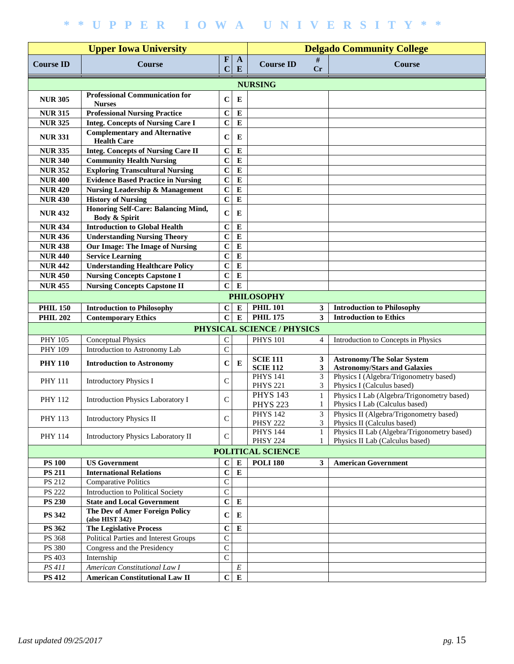|                  |                                                                        | <b>Delgado Community College</b> |                   |                                    |         |                                                                                |
|------------------|------------------------------------------------------------------------|----------------------------------|-------------------|------------------------------------|---------|--------------------------------------------------------------------------------|
| <b>Course ID</b> | <b>Course</b>                                                          | $\mathbf{F}$<br>C                | $\mathbf{A}$<br>E | <b>Course ID</b>                   | #<br>Cr | <b>Course</b>                                                                  |
|                  |                                                                        |                                  |                   | <b>NURSING</b>                     |         |                                                                                |
| <b>NUR 305</b>   | <b>Professional Communication for</b><br><b>Nurses</b>                 | $\mathbf C$                      | E                 |                                    |         |                                                                                |
| <b>NUR 315</b>   | <b>Professional Nursing Practice</b>                                   | $\mathbf C$                      | ${\bf E}$         |                                    |         |                                                                                |
| <b>NUR 325</b>   | <b>Integ. Concepts of Nursing Care I</b>                               | $\mathbf C$                      | $\bf{E}$          |                                    |         |                                                                                |
| <b>NUR 331</b>   | <b>Complementary and Alternative</b><br><b>Health Care</b>             | $\mathbf C$                      | E                 |                                    |         |                                                                                |
| <b>NUR 335</b>   | <b>Integ. Concepts of Nursing Care II</b>                              | $\mathbf C$                      | $\bf{E}$          |                                    |         |                                                                                |
| <b>NUR 340</b>   | <b>Community Health Nursing</b>                                        | $\mathbf C$                      | $\bf{E}$          |                                    |         |                                                                                |
| <b>NUR 352</b>   | <b>Exploring Transcultural Nursing</b>                                 | $\mathbf C$                      | ${\bf E}$         |                                    |         |                                                                                |
| <b>NUR 400</b>   | <b>Evidence Based Practice in Nursing</b>                              | $\mathbf C$                      | ${\bf E}$         |                                    |         |                                                                                |
| <b>NUR420</b>    | <b>Nursing Leadership &amp; Management</b>                             | $\mathbf C$                      | $\bf{E}$          |                                    |         |                                                                                |
| <b>NUR 430</b>   | <b>History of Nursing</b>                                              | $\mathbf C$                      | $\bf{E}$          |                                    |         |                                                                                |
| <b>NUR432</b>    | <b>Honoring Self-Care: Balancing Mind,</b><br><b>Body &amp; Spirit</b> | $\mathbf C$                      | E                 |                                    |         |                                                                                |
| <b>NUR434</b>    | <b>Introduction to Global Health</b>                                   | $\mathbf C$                      | $\bf{E}$          |                                    |         |                                                                                |
| <b>NUR 436</b>   | <b>Understanding Nursing Theory</b>                                    | $\mathbf C$                      | $\bf{E}$          |                                    |         |                                                                                |
| <b>NUR 438</b>   | Our Image: The Image of Nursing                                        | $\mathbf C$                      | $\bf{E}$          |                                    |         |                                                                                |
| <b>NUR 440</b>   | <b>Service Learning</b>                                                | $\mathbf C$                      | $\bf{E}$          |                                    |         |                                                                                |
| <b>NUR 442</b>   | <b>Understanding Healthcare Policy</b>                                 | $\mathbf C$                      | $\bf{E}$          |                                    |         |                                                                                |
| <b>NUR450</b>    | <b>Nursing Concepts Capstone I</b>                                     | $\mathbf C$                      | $\bf{E}$          |                                    |         |                                                                                |
| <b>NUR 455</b>   | <b>Nursing Concepts Capstone II</b>                                    | $\mathbf C$                      | ${\bf E}$         |                                    |         |                                                                                |
|                  |                                                                        |                                  |                   | <b>PHILOSOPHY</b>                  |         |                                                                                |
|                  |                                                                        |                                  |                   |                                    |         |                                                                                |
| <b>PHIL 150</b>  | <b>Introduction to Philosophy</b>                                      | $\bf C$                          | E                 | <b>PHIL 101</b>                    | 3       | <b>Introduction to Philosophy</b>                                              |
| <b>PHIL 202</b>  | <b>Contemporary Ethics</b>                                             | $\mathbf C$                      | ${\bf E}$         | <b>PHIL 175</b>                    | 3       | <b>Introduction to Ethics</b>                                                  |
|                  |                                                                        |                                  |                   | PHYSICAL SCIENCE / PHYSICS         |         |                                                                                |
| <b>PHY 105</b>   | <b>Conceptual Physics</b>                                              | ${\bf C}$                        |                   | <b>PHYS 101</b>                    | 4       | Introduction to Concepts in Physics                                            |
| PHY 109          | Introduction to Astronomy Lab                                          | $\mathsf C$                      |                   |                                    |         |                                                                                |
| <b>PHY 110</b>   | <b>Introduction to Astronomy</b>                                       | $\mathbf C$                      | E                 | <b>SCIE 111</b><br><b>SCIE 112</b> | 3<br>3  | <b>Astronomy/The Solar System</b><br><b>Astronomy/Stars and Galaxies</b>       |
| <b>PHY 111</b>   | <b>Introductory Physics I</b>                                          | $\mathcal{C}$                    |                   | <b>PHYS 141</b><br><b>PHYS 221</b> | 3<br>3  | Physics I (Algebra/Trigonometry based)<br>Physics I (Calculus based)           |
| <b>PHY 112</b>   | <b>Introduction Physics Laboratory I</b>                               | $\mathsf{C}$                     |                   | <b>PHYS 143</b><br><b>PHYS 223</b> | 1<br>1  | Physics I Lab (Algebra/Trigonometry based)<br>Physics I Lab (Calculus based)   |
| PHY 113          | <b>Introductory Physics II</b>                                         | $\mathbf C$                      |                   | <b>PHYS 142</b><br><b>PHSY 222</b> | 3<br>3  | Physics II (Algebra/Trigonometry based)<br>Physics II (Calculus based)         |
| PHY 114          | <b>Introductory Physics Laboratory II</b>                              | C                                |                   | <b>PHYS 144</b><br><b>PHSY 224</b> |         | Physics II Lab (Algebra/Trigonometry based)<br>Physics II Lab (Calculus based) |
|                  |                                                                        |                                  |                   | POLITICAL SCIENCE                  |         |                                                                                |
| <b>PS 100</b>    | <b>US Government</b>                                                   | $\bf C$                          | ${\bf E}$         | <b>POLI 180</b>                    | 3       | <b>American Government</b>                                                     |
| <b>PS 211</b>    | <b>International Relations</b>                                         | $\mathbf C$                      | ${\bf E}$         |                                    |         |                                                                                |
| PS 212           | <b>Comparative Politics</b>                                            | $\mathsf C$                      |                   |                                    |         |                                                                                |
| <b>PS 222</b>    | <b>Introduction to Political Society</b>                               | $\mathsf C$                      |                   |                                    |         |                                                                                |
| <b>PS 230</b>    | <b>State and Local Government</b>                                      | $\bf C$                          | $\bf{E}$          |                                    |         |                                                                                |
| <b>PS 342</b>    | The Dev of Amer Foreign Policy<br>(also HIST 342)                      | $\mathbf C$                      | E                 |                                    |         |                                                                                |
| PS 362           | <b>The Legislative Process</b>                                         | $\mathbf C$                      | ${\bf E}$         |                                    |         |                                                                                |
| PS 368           | Political Parties and Interest Groups                                  | $\mathsf C$                      |                   |                                    |         |                                                                                |
| PS 380           | Congress and the Presidency                                            | ${\bf C}$                        |                   |                                    |         |                                                                                |
| PS 403           | Internship                                                             | $\mathbf C$                      |                   |                                    |         |                                                                                |
| PS 411           | American Constitutional Law I                                          |                                  | $\cal E$          |                                    |         |                                                                                |
| <b>PS 412</b>    | <b>American Constitutional Law II</b>                                  | $\mathbf C$                      | $\bf{E}$          |                                    |         |                                                                                |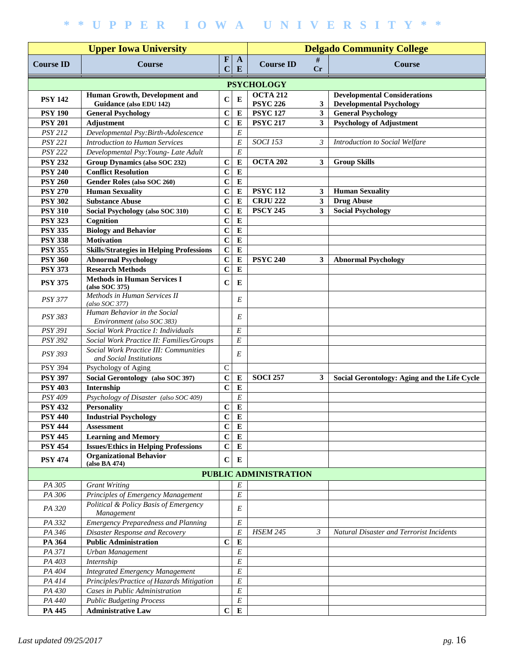|                  |                                                                         | <b>Delgado Community College</b> |                   |                                    |                         |                                                                        |
|------------------|-------------------------------------------------------------------------|----------------------------------|-------------------|------------------------------------|-------------------------|------------------------------------------------------------------------|
| <b>Course ID</b> | <b>Course</b>                                                           | $\mathbf F$<br>$\mathbf C$       | $\mathbf{A}$<br>E | <b>Course ID</b>                   | #<br>Cr                 | <b>Course</b>                                                          |
|                  |                                                                         |                                  |                   | <b>PSYCHOLOGY</b>                  |                         |                                                                        |
| <b>PSY 142</b>   | Human Growth, Development and<br>Guidance (also EDU 142)                | $\mathbf C$                      | E                 | <b>OCTA 212</b><br><b>PSYC 226</b> | 3                       | <b>Developmental Considerations</b><br><b>Developmental Psychology</b> |
| <b>PSY 190</b>   | <b>General Psychology</b>                                               | $\mathbf C$                      | ${\bf E}$         | <b>PSYC 127</b>                    | $\overline{\mathbf{3}}$ | <b>General Psychology</b>                                              |
| <b>PSY 201</b>   | Adjustment                                                              | $\mathbf C$                      | ${\bf E}$         | <b>PSYC 217</b>                    | $\mathbf{3}$            | <b>Psychology of Adjustment</b>                                        |
| <b>PSY 212</b>   | Developmental Psy:Birth-Adolescence                                     |                                  | E                 |                                    |                         |                                                                        |
| <b>PSY 221</b>   | <b>Introduction to Human Services</b>                                   |                                  | E                 | <b>SOCI</b> 153                    | $\mathfrak{Z}$          | Introduction to Social Welfare                                         |
| <b>PSY 222</b>   | Developmental Psy: Young- Late Adult                                    |                                  | $\overline{E}$    |                                    |                         |                                                                        |
| <b>PSY 232</b>   | Group Dynamics (also SOC 232)                                           | $\mathbf C$                      | ${\bf E}$         | <b>OCTA 202</b>                    | $\mathbf{3}$            | <b>Group Skills</b>                                                    |
| <b>PSY 240</b>   | <b>Conflict Resolution</b>                                              | $\mathbf C$                      | ${\bf E}$         |                                    |                         |                                                                        |
| <b>PSY 260</b>   | Gender Roles (also SOC 260)                                             | $\mathbf C$                      | ${\bf E}$         |                                    |                         |                                                                        |
| <b>PSY 270</b>   | <b>Human Sexuality</b>                                                  | $\mathbf C$                      | $\bf{E}$          | <b>PSYC 112</b>                    | 3                       | <b>Human Sexuality</b>                                                 |
| <b>PSY 302</b>   | <b>Substance Abuse</b>                                                  | $\mathbf C$                      | ${\bf E}$         | <b>CRJU 222</b>                    | $\mathbf{3}$            | <b>Drug Abuse</b>                                                      |
| <b>PSY 310</b>   | Social Psychology (also SOC 310)                                        | $\mathbf C$                      | E                 | <b>PSCY 245</b>                    | 3                       | <b>Social Psychology</b>                                               |
| <b>PSY 323</b>   | Cognition                                                               | $\mathbf C$                      | ${\bf E}$         |                                    |                         |                                                                        |
| <b>PSY 335</b>   | <b>Biology and Behavior</b>                                             | $\mathbf C$                      | ${\bf E}$         |                                    |                         |                                                                        |
| <b>PSY 338</b>   | <b>Motivation</b>                                                       | $\mathbf C$                      | E                 |                                    |                         |                                                                        |
| <b>PSY 355</b>   | <b>Skills/Strategies in Helping Professions</b>                         | $\mathbf C$                      | ${\bf E}$         |                                    |                         |                                                                        |
| <b>PSY 360</b>   | <b>Abnormal Psychology</b>                                              | $\mathbf C$                      | ${\bf E}$         | <b>PSYC 240</b>                    | 3                       | <b>Abnormal Psychology</b>                                             |
| <b>PSY 373</b>   | <b>Research Methods</b>                                                 | $\mathbf C$                      | ${\bf E}$         |                                    |                         |                                                                        |
| <b>PSY 375</b>   | <b>Methods in Human Services I</b><br>(aiso SOC 375)                    | $\mathbf C$                      | E                 |                                    |                         |                                                                        |
| <b>PSY 377</b>   | Methods in Human Services II<br>$(also$ SOC 377)                        |                                  | E                 |                                    |                         |                                                                        |
| PSY 383          | Human Behavior in the Social<br>Environment (also SOC 383)              |                                  | E                 |                                    |                         |                                                                        |
| <b>PSY 391</b>   | Social Work Practice I: Individuals                                     |                                  | E                 |                                    |                         |                                                                        |
| <b>PSY 392</b>   | Social Work Practice II: Families/Groups                                |                                  | E                 |                                    |                         |                                                                        |
| PSY 393          | <b>Social Work Practice III: Communities</b><br>and Social Institutions |                                  | E                 |                                    |                         |                                                                        |
| <b>PSY 394</b>   | Psychology of Aging                                                     | $\mathsf{C}$                     |                   |                                    |                         |                                                                        |
| <b>PSY 397</b>   | Social Gerontology (also SOC 397)                                       | $\mathbf C$                      | ${\bf E}$         | <b>SOCI 257</b>                    | 3                       | Social Gerontology: Aging and the Life Cycle                           |
| <b>PSY 403</b>   | Internship                                                              | $\mathbf C$                      | ${\bf E}$         |                                    |                         |                                                                        |
| PSY 409          | Psychology of Disaster (also SOC 409)                                   |                                  | $\cal E$          |                                    |                         |                                                                        |
| <b>PSY 432</b>   | <b>Personality</b>                                                      | $\mathbf C$                      | $\bf{E}$          |                                    |                         |                                                                        |
| <b>PSY 440</b>   | <b>Industrial Psychology</b>                                            | $\mathbf C$                      | E                 |                                    |                         |                                                                        |
| <b>PSY 444</b>   | <b>Assessment</b>                                                       | $\mathbf C$                      | ${\bf E}$         |                                    |                         |                                                                        |
| <b>PSY 445</b>   | <b>Learning and Memory</b>                                              | $\mathbf C$                      | E                 |                                    |                         |                                                                        |
| <b>PSY 454</b>   | <b>Issues/Ethics in Helping Professions</b>                             | $\mathbf C$                      | ${\bf E}$         |                                    |                         |                                                                        |
| <b>PSY 474</b>   | <b>Organizational Behavior</b><br>(also BA 474)                         | $\mathbf C$                      | E                 |                                    |                         |                                                                        |
|                  |                                                                         |                                  |                   | PUBLIC ADMINISTRATION              |                         |                                                                        |
| PA 305           | <b>Grant Writing</b>                                                    |                                  | E                 |                                    |                         |                                                                        |
| PA 306           | Principles of Emergency Management                                      |                                  | $\overline{E}$    |                                    |                         |                                                                        |
| PA 320           | Political & Policy Basis of Emergency<br>Management                     |                                  | E                 |                                    |                         |                                                                        |
| PA 332           | <b>Emergency Preparedness and Planning</b>                              |                                  | E                 |                                    |                         |                                                                        |
| PA 346           | Disaster Response and Recovery                                          |                                  | $\cal E$          | <b>HSEM 245</b>                    | $\mathfrak{Z}$          | Natural Disaster and Terrorist Incidents                               |
| PA 364           | <b>Public Administration</b>                                            | $\mathbf C$                      | ${\bf E}$         |                                    |                         |                                                                        |
| PA 371           | Urban Management                                                        |                                  | $\cal E$          |                                    |                         |                                                                        |
| PA 403           | Internship                                                              |                                  | $\cal E$          |                                    |                         |                                                                        |
| PA 404           | <b>Integrated Emergency Management</b>                                  |                                  | $\cal E$          |                                    |                         |                                                                        |
| PA 414           | Principles/Practice of Hazards Mitigation                               |                                  | $\cal E$          |                                    |                         |                                                                        |
| PA 430           | Cases in Public Administration                                          |                                  | $\cal E$          |                                    |                         |                                                                        |
| PA 440           | <b>Public Budgeting Process</b>                                         |                                  | $\cal E$          |                                    |                         |                                                                        |
| PA 445           | <b>Administrative Law</b>                                               | $\mathbf C$                      | ${\bf E}$         |                                    |                         |                                                                        |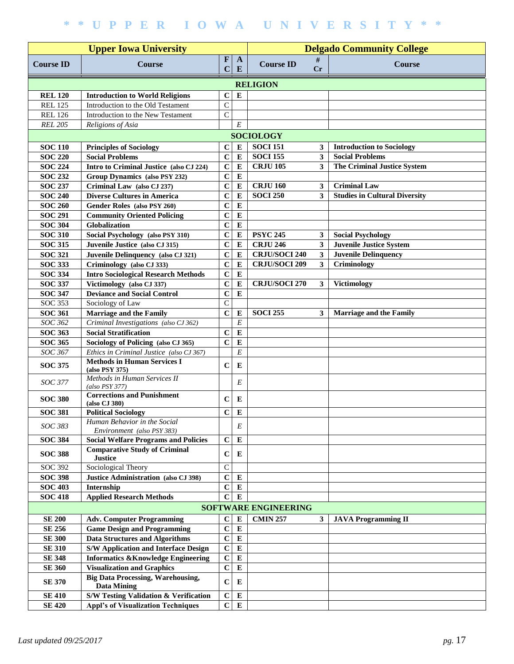|                  |                                                                | <b>Delgado Community College</b> |                   |                             |              |                                      |  |  |  |
|------------------|----------------------------------------------------------------|----------------------------------|-------------------|-----------------------------|--------------|--------------------------------------|--|--|--|
| <b>Course ID</b> | <b>Upper Iowa University</b><br><b>Course</b>                  | $\boldsymbol{\mathrm{F}}$<br>C   | $\mathbf{A}$<br>E | <b>Course ID</b>            | #<br>Cr      | <b>Course</b>                        |  |  |  |
|                  |                                                                |                                  |                   | <b>RELIGION</b>             |              |                                      |  |  |  |
| <b>REL 120</b>   | <b>Introduction to World Religions</b>                         | $\mathbf C$                      | $\bf{E}$          |                             |              |                                      |  |  |  |
| <b>REL 125</b>   | Introduction to the Old Testament                              | $\mathsf{C}$                     |                   |                             |              |                                      |  |  |  |
| <b>REL 126</b>   | Introduction to the New Testament                              | $\mathcal{C}$                    |                   |                             |              |                                      |  |  |  |
| <b>REL 205</b>   | Religions of Asia                                              |                                  | $\cal E$          |                             |              |                                      |  |  |  |
| <b>SOCIOLOGY</b> |                                                                |                                  |                   |                             |              |                                      |  |  |  |
| <b>SOC 110</b>   | <b>Principles of Sociology</b>                                 | $\bf C$                          | E                 | <b>SOCI 151</b>             | 3            | <b>Introduction to Sociology</b>     |  |  |  |
| <b>SOC 220</b>   | <b>Social Problems</b>                                         | $\mathbf C$                      | ${\bf E}$         | <b>SOCI 155</b>             | $\mathbf{3}$ | <b>Social Problems</b>               |  |  |  |
| <b>SOC 224</b>   | Intro to Criminal Justice (also CJ 224)                        | $\mathbf C$                      | ${\bf E}$         | <b>CRJU 105</b>             | 3            | <b>The Criminal Justice System</b>   |  |  |  |
| <b>SOC 232</b>   | Group Dynamics (also PSY 232)                                  | $\mathbf C$                      | ${\bf E}$         |                             |              |                                      |  |  |  |
| <b>SOC 237</b>   | Criminal Law (also CJ 237)                                     | $\mathbf C$                      | ${\bf E}$         | <b>CRJU 160</b>             | $\mathbf{3}$ | <b>Criminal Law</b>                  |  |  |  |
| <b>SOC 240</b>   | <b>Diverse Cultures in America</b>                             | $\mathbf C$                      | ${\bf E}$         | <b>SOCI 250</b>             | 3            | <b>Studies in Cultural Diversity</b> |  |  |  |
| <b>SOC 260</b>   | Gender Roles (also PSY 260)                                    | $\mathbf C$                      | ${\bf E}$         |                             |              |                                      |  |  |  |
| <b>SOC 291</b>   | <b>Community Oriented Policing</b>                             | $\mathbf C$                      | ${\bf E}$         |                             |              |                                      |  |  |  |
| <b>SOC 304</b>   | Globalization                                                  | $\mathbf C$                      | ${\bf E}$         |                             |              |                                      |  |  |  |
| <b>SOC 310</b>   | Social Psychology (also PSY 310)                               | $\mathbf C$                      | $\bf{E}$          | <b>PSYC 245</b>             | 3            | <b>Social Psychology</b>             |  |  |  |
| <b>SOC 315</b>   | Juvenile Justice (also CJ 315)                                 | $\mathbf C$                      | $\bf{E}$          | <b>CRJU 246</b>             | $\mathbf{3}$ | <b>Juvenile Justice System</b>       |  |  |  |
| <b>SOC 321</b>   | Juvenile Delinquency (also CJ 321)                             | $\mathbf C$                      | ${\bf E}$         | <b>CRJU/SOCI 240</b>        | $\mathbf{3}$ | <b>Juvenile Delinquency</b>          |  |  |  |
| <b>SOC 333</b>   | Criminology (also CJ 333)                                      | $\mathbf C$                      | ${\bf E}$         | <b>CRJU/SOCI 209</b>        | $\mathbf{3}$ | Criminology                          |  |  |  |
| <b>SOC 334</b>   | <b>Intro Sociological Research Methods</b>                     | $\mathbf C$                      | $\bf{E}$          |                             |              |                                      |  |  |  |
| <b>SOC 337</b>   | Victimology (also CJ 337)                                      | $\mathbf C$                      | ${\bf E}$         | <b>CRJU/SOCI 270</b>        | $\mathbf{3}$ | Victimology                          |  |  |  |
| <b>SOC 347</b>   | <b>Deviance and Social Control</b>                             | $\mathbf C$                      | $\bf{E}$          |                             |              |                                      |  |  |  |
| <b>SOC 353</b>   | Sociology of Law                                               | $\overline{C}$                   |                   |                             |              |                                      |  |  |  |
| <b>SOC 361</b>   | <b>Marriage and the Family</b>                                 | $\mathbf C$                      | $\bf{E}$          | <b>SOCI 255</b>             | 3            | <b>Marriage and the Family</b>       |  |  |  |
| SOC 362          | Criminal Investigations (also CJ 362)                          |                                  | $\cal E$          |                             |              |                                      |  |  |  |
| <b>SOC 363</b>   | <b>Social Stratification</b>                                   | $\mathbf C$                      | ${\bf E}$         |                             |              |                                      |  |  |  |
| <b>SOC 365</b>   | Sociology of Policing (also CJ 365)                            | $\mathbf C$                      | $\bf{E}$          |                             |              |                                      |  |  |  |
| SOC 367          | Ethics in Criminal Justice (also CJ 367)                       |                                  | E                 |                             |              |                                      |  |  |  |
|                  | <b>Methods in Human Services I</b>                             |                                  |                   |                             |              |                                      |  |  |  |
| <b>SOC 375</b>   | (also PSY 375)                                                 | $\mathbf C$                      | E                 |                             |              |                                      |  |  |  |
| SOC 377          | Methods in Human Services II                                   |                                  | E                 |                             |              |                                      |  |  |  |
|                  | $(also$ $PSY$ 377)<br><b>Corrections and Punishment</b>        |                                  |                   |                             |              |                                      |  |  |  |
| <b>SOC 380</b>   | (also CJ 380)                                                  | $\mathbf C$                      | E                 |                             |              |                                      |  |  |  |
| <b>SOC 381</b>   | <b>Political Sociology</b>                                     | $\mathbf C$                      | ${\bf E}$         |                             |              |                                      |  |  |  |
| SOC 383          | Human Behavior in the Social                                   |                                  | E                 |                             |              |                                      |  |  |  |
|                  | Environment (also PSY 383)                                     |                                  |                   |                             |              |                                      |  |  |  |
| <b>SOC 384</b>   | <b>Social Welfare Programs and Policies</b>                    | $\mathbf C$                      | $\bf{E}$          |                             |              |                                      |  |  |  |
| <b>SOC 388</b>   | <b>Comparative Study of Criminal</b>                           | $\mathbf C$                      | E                 |                             |              |                                      |  |  |  |
| <b>SOC 392</b>   | <b>Justice</b><br>Sociological Theory                          | $\mathsf C$                      |                   |                             |              |                                      |  |  |  |
| <b>SOC 398</b>   | Justice Administration (also CJ 398)                           | $\mathbf C$                      | E                 |                             |              |                                      |  |  |  |
| <b>SOC 403</b>   | Internship                                                     | $\mathbf C$                      | ${\bf E}$         |                             |              |                                      |  |  |  |
| <b>SOC 418</b>   | <b>Applied Research Methods</b>                                | $\mathbf C$                      | ${\bf E}$         |                             |              |                                      |  |  |  |
|                  |                                                                |                                  |                   |                             |              |                                      |  |  |  |
|                  |                                                                |                                  |                   | <b>SOFTWARE ENGINEERING</b> |              |                                      |  |  |  |
| <b>SE 200</b>    | <b>Adv. Computer Programming</b>                               | $\bf C$                          | E                 | <b>CMIN 257</b>             | 3            | <b>JAVA Programming II</b>           |  |  |  |
| <b>SE 256</b>    | <b>Game Design and Programming</b>                             | $\mathbf C$                      | ${\bf E}$         |                             |              |                                      |  |  |  |
| <b>SE 300</b>    | <b>Data Structures and Algorithms</b>                          | $\mathbf C$                      | ${\bf E}$         |                             |              |                                      |  |  |  |
| <b>SE 310</b>    | <b>S/W Application and Interface Design</b>                    | $\mathbf C$                      | ${\bf E}$         |                             |              |                                      |  |  |  |
| <b>SE 348</b>    | <b>Informatics &amp;Knowledge Engineering</b>                  | $\mathbf C$                      | ${\bf E}$         |                             |              |                                      |  |  |  |
| <b>SE 360</b>    | <b>Visualization and Graphics</b>                              | $\mathbf C$                      | ${\bf E}$         |                             |              |                                      |  |  |  |
| <b>SE 370</b>    | <b>Big Data Processing, Warehousing,</b><br><b>Data Mining</b> | $\mathbf C$                      | E                 |                             |              |                                      |  |  |  |
| <b>SE 410</b>    | S/W Testing Validation & Verification                          | $\bf C$                          | ${\bf E}$         |                             |              |                                      |  |  |  |
| <b>SE 420</b>    | <b>Appl's of Visualization Techniques</b>                      | $\mathbf C$                      | ${\bf E}$         |                             |              |                                      |  |  |  |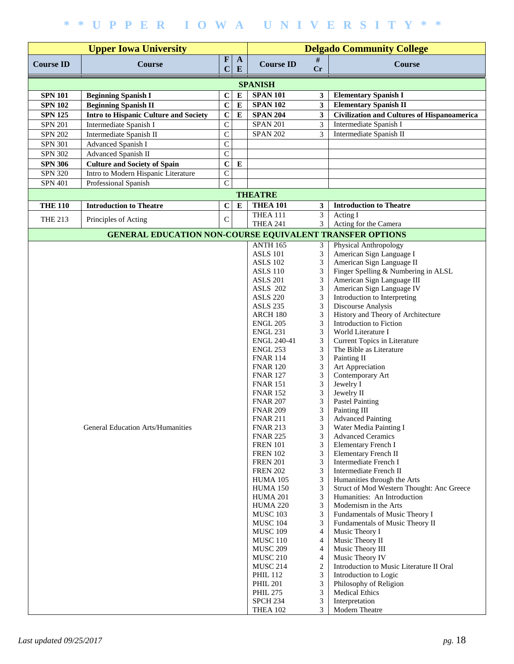| <b>Upper Iowa University</b> |                                                          |                             |                                    | <b>Delgado Community College</b>   |                                        |                                                                   |  |  |  |  |  |
|------------------------------|----------------------------------------------------------|-----------------------------|------------------------------------|------------------------------------|----------------------------------------|-------------------------------------------------------------------|--|--|--|--|--|
| <b>Course ID</b>             | <b>Course</b>                                            | $\mathbf{F}$<br>$\mathbf C$ | $\mathbf{A}$<br>${\bf E}$          | <b>Course ID</b>                   | #<br>$C_{r}$                           | <b>Course</b>                                                     |  |  |  |  |  |
|                              |                                                          |                             |                                    | <b>SPANISH</b>                     |                                        |                                                                   |  |  |  |  |  |
| <b>SPN 101</b>               | <b>Beginning Spanish I</b>                               | $\mathbf C$                 | ${\bf E}$                          | <b>SPAN 101</b>                    | 3                                      | <b>Elementary Spanish I</b>                                       |  |  |  |  |  |
| <b>SPN 102</b>               | <b>Beginning Spanish II</b>                              | $\mathbf C$                 | ${\bf E}$                          | <b>SPAN 102</b>                    | $\overline{\mathbf{3}}$                | <b>Elementary Spanish II</b>                                      |  |  |  |  |  |
| <b>SPN 125</b>               | Intro to Hispanic Culture and Society                    | $\mathbf C$                 | ${\bf E}$                          | <b>SPAN 204</b>                    | $\overline{\mathbf{3}}$                | <b>Civilization and Cultures of Hispanoamerica</b>                |  |  |  |  |  |
| <b>SPN 201</b>               | Intermediate Spanish I                                   | $\mathsf{C}$                |                                    | <b>SPAN 201</b>                    | 3                                      | Intermediate Spanish I                                            |  |  |  |  |  |
| <b>SPN 202</b>               | Intermediate Spanish II                                  | $\mathbf C$                 |                                    | <b>SPAN 202</b>                    | 3                                      | Intermediate Spanish II                                           |  |  |  |  |  |
| <b>SPN 301</b>               | Advanced Spanish I                                       | $\mathsf{C}$                |                                    |                                    |                                        |                                                                   |  |  |  |  |  |
| <b>SPN 302</b>               | Advanced Spanish II                                      | $\mathbf C$                 |                                    |                                    |                                        |                                                                   |  |  |  |  |  |
| <b>SPN 306</b>               | <b>Culture and Society of Spain</b>                      | $\mathbf C$                 | E                                  |                                    |                                        |                                                                   |  |  |  |  |  |
| <b>SPN 320</b>               | Intro to Modern Hispanic Literature                      | $\mathsf{C}$                |                                    |                                    |                                        |                                                                   |  |  |  |  |  |
| <b>SPN 401</b>               | Professional Spanish                                     | $\overline{C}$              |                                    |                                    |                                        |                                                                   |  |  |  |  |  |
|                              | <b>THEATRE</b>                                           |                             |                                    |                                    |                                        |                                                                   |  |  |  |  |  |
| <b>THE 110</b>               | <b>Introduction to Theatre</b>                           | $\mathbf C$                 | ${\bf E}$                          | <b>THEA 101</b>                    | $\mathbf{3}$                           | <b>Introduction to Theatre</b>                                    |  |  |  |  |  |
| <b>THE 213</b>               | Principles of Acting                                     | $\mathbf C$                 |                                    | <b>THEA 111</b>                    | $\overline{3}$                         | Acting I                                                          |  |  |  |  |  |
|                              |                                                          |                             |                                    | <b>THEA 241</b>                    | 3                                      | Acting for the Camera                                             |  |  |  |  |  |
|                              | GENERAL EDUCATION NON-COURSE EQUIVALENT TRANSFER OPTIONS |                             |                                    |                                    |                                        |                                                                   |  |  |  |  |  |
|                              |                                                          |                             |                                    | <b>ANTH 165</b>                    | 3                                      | Physical Anthropology                                             |  |  |  |  |  |
|                              |                                                          |                             |                                    | <b>ASLS 101</b><br><b>ASLS 102</b> | 3<br>$\ensuremath{\mathfrak{Z}}$       | American Sign Language I<br>American Sign Language II             |  |  |  |  |  |
|                              |                                                          |                             |                                    | <b>ASLS 110</b>                    | 3                                      | Finger Spelling & Numbering in ALSL                               |  |  |  |  |  |
|                              |                                                          |                             |                                    | <b>ASLS 201</b>                    | 3                                      | American Sign Language III                                        |  |  |  |  |  |
|                              |                                                          |                             |                                    | <b>ASLS 202</b>                    | 3                                      | American Sign Language IV                                         |  |  |  |  |  |
|                              |                                                          |                             |                                    | <b>ASLS 220</b>                    | 3                                      | Introduction to Interpreting                                      |  |  |  |  |  |
|                              |                                                          |                             |                                    | <b>ASLS 235</b>                    | 3                                      | Discourse Analysis                                                |  |  |  |  |  |
|                              |                                                          |                             |                                    | <b>ARCH 180</b>                    | 3                                      | History and Theory of Architecture                                |  |  |  |  |  |
|                              |                                                          |                             |                                    | <b>ENGL 205</b>                    | 3                                      | Introduction to Fiction                                           |  |  |  |  |  |
|                              |                                                          |                             |                                    | <b>ENGL 231</b>                    | 3                                      | World Literature I                                                |  |  |  |  |  |
|                              |                                                          |                             |                                    | <b>ENGL 240-41</b>                 | 3<br>3                                 | Current Topics in Literature                                      |  |  |  |  |  |
|                              |                                                          |                             | <b>ENGL 253</b><br><b>FNAR 114</b> | 3                                  | The Bible as Literature<br>Painting II |                                                                   |  |  |  |  |  |
|                              |                                                          |                             |                                    | <b>FNAR 120</b>                    | 3                                      | Art Appreciation                                                  |  |  |  |  |  |
|                              |                                                          |                             |                                    | <b>FNAR 127</b>                    | 3                                      | Contemporary Art                                                  |  |  |  |  |  |
|                              |                                                          |                             |                                    | <b>FNAR 151</b>                    | 3                                      | Jewelry I                                                         |  |  |  |  |  |
|                              |                                                          |                             |                                    | <b>FNAR 152</b>                    | 3                                      | Jewelry II                                                        |  |  |  |  |  |
|                              |                                                          |                             |                                    | <b>FNAR 207</b>                    | 3                                      | <b>Pastel Painting</b>                                            |  |  |  |  |  |
|                              |                                                          |                             |                                    | <b>FNAR 209</b>                    | 3                                      | Painting III                                                      |  |  |  |  |  |
|                              |                                                          |                             |                                    | <b>FNAR 211</b>                    | 3                                      | <b>Advanced Painting</b>                                          |  |  |  |  |  |
|                              | General Education Arts/Humanities                        |                             |                                    | <b>FNAR 213</b>                    | 3<br>3                                 | Water Media Painting I<br><b>Advanced Ceramics</b>                |  |  |  |  |  |
|                              |                                                          |                             |                                    | <b>FNAR 225</b><br><b>FREN 101</b> | 3                                      | Elementary French I                                               |  |  |  |  |  |
|                              |                                                          |                             |                                    | <b>FREN 102</b>                    | 3                                      | Elementary French II                                              |  |  |  |  |  |
|                              |                                                          |                             |                                    | <b>FREN 201</b>                    | 3                                      | Intermediate French I                                             |  |  |  |  |  |
|                              |                                                          |                             |                                    | <b>FREN 202</b>                    | 3                                      | Intermediate French II                                            |  |  |  |  |  |
|                              |                                                          |                             |                                    | HUMA 105                           | 3                                      | Humanities through the Arts                                       |  |  |  |  |  |
|                              |                                                          |                             |                                    | HUMA 150                           | 3                                      | Struct of Mod Western Thought: Anc Greece                         |  |  |  |  |  |
|                              |                                                          |                             |                                    | <b>HUMA 201</b>                    | 3                                      | Humanities: An Introduction                                       |  |  |  |  |  |
|                              |                                                          |                             |                                    | <b>HUMA 220</b>                    | 3                                      | Modernism in the Arts                                             |  |  |  |  |  |
|                              |                                                          |                             |                                    | MUSC 103<br><b>MUSC 104</b>        | 3<br>3                                 | Fundamentals of Music Theory I<br>Fundamentals of Music Theory II |  |  |  |  |  |
|                              |                                                          |                             |                                    | <b>MUSC 109</b>                    | 4                                      | Music Theory I                                                    |  |  |  |  |  |
|                              |                                                          |                             |                                    | <b>MUSC 110</b>                    | 4                                      | Music Theory II                                                   |  |  |  |  |  |
|                              |                                                          |                             |                                    | <b>MUSC 209</b>                    | $\overline{4}$                         | Music Theory III                                                  |  |  |  |  |  |
|                              |                                                          |                             |                                    | <b>MUSC 210</b>                    | 4                                      | Music Theory IV                                                   |  |  |  |  |  |
|                              |                                                          |                             |                                    | <b>MUSC 214</b>                    | $\overline{c}$                         | Introduction to Music Literature II Oral                          |  |  |  |  |  |
|                              |                                                          |                             |                                    | <b>PHIL 112</b>                    | 3                                      | Introduction to Logic                                             |  |  |  |  |  |
|                              |                                                          |                             |                                    | <b>PHIL 201</b>                    | 3<br>3                                 | Philosophy of Religion                                            |  |  |  |  |  |
|                              |                                                          |                             |                                    | <b>PHIL 275</b><br><b>SPCH 234</b> | 3                                      | <b>Medical Ethics</b><br>Interpretation                           |  |  |  |  |  |
|                              |                                                          |                             |                                    | <b>THEA 102</b>                    | 3                                      | Modern Theatre                                                    |  |  |  |  |  |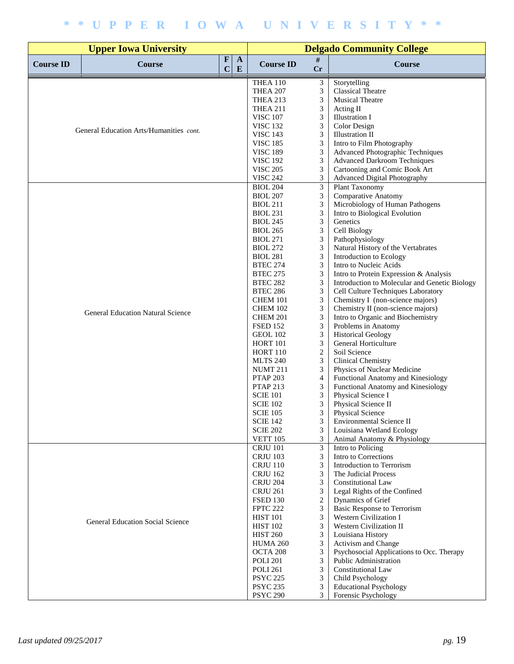|                  | <b>Upper Iowa University</b>             |                                                 | <b>Delgado Community College</b>   |                             |                                                                                     |  |
|------------------|------------------------------------------|-------------------------------------------------|------------------------------------|-----------------------------|-------------------------------------------------------------------------------------|--|
| <b>Course ID</b> | Course                                   | $\mathbf F$<br>$\mathbf{A}$<br>$\mathbf C$<br>E | <b>Course ID</b>                   | #<br>Cr                     | <b>Course</b>                                                                       |  |
|                  |                                          |                                                 | THEA 110                           | 3                           | Storytelling                                                                        |  |
|                  |                                          |                                                 | <b>THEA 207</b>                    | 3                           | <b>Classical Theatre</b>                                                            |  |
|                  |                                          | <b>THEA 213</b>                                 | 3                                  | <b>Musical Theatre</b>      |                                                                                     |  |
|                  |                                          | THEA 211<br><b>VISC 107</b>                     | 3<br>3                             | Acting II<br>Illustration I |                                                                                     |  |
|                  |                                          |                                                 | <b>VISC 132</b>                    | $\ensuremath{\mathfrak{Z}}$ | Color Design                                                                        |  |
|                  | General Education Arts/Humanities cont.  |                                                 | <b>VISC 143</b>                    | 3                           | <b>Illustration II</b>                                                              |  |
|                  |                                          |                                                 | <b>VISC 185</b>                    | $\mathfrak{Z}$              | Intro to Film Photography                                                           |  |
|                  |                                          |                                                 | <b>VISC 189</b>                    | $\mathfrak{Z}$              | Advanced Photographic Techniques                                                    |  |
|                  |                                          |                                                 | <b>VISC 192</b>                    | 3                           | <b>Advanced Darkroom Techniques</b>                                                 |  |
|                  |                                          |                                                 | <b>VISC 205</b>                    | 3                           | Cartooning and Comic Book Art                                                       |  |
|                  |                                          |                                                 | <b>VISC 242</b>                    | 3                           | <b>Advanced Digital Photography</b>                                                 |  |
|                  |                                          |                                                 | BIOL 204                           | $\overline{3}$              | <b>Plant Taxonomy</b><br>Comparative Anatomy                                        |  |
|                  |                                          |                                                 | <b>BIOL 207</b><br><b>BIOL 211</b> | $\mathfrak{Z}$<br>3         | Microbiology of Human Pathogens                                                     |  |
|                  |                                          |                                                 | <b>BIOL 231</b>                    | 3                           | Intro to Biological Evolution                                                       |  |
|                  |                                          |                                                 | <b>BIOL 245</b>                    | $\mathfrak{Z}$              | Genetics                                                                            |  |
|                  |                                          |                                                 | <b>BIOL 265</b>                    | 3                           | Cell Biology                                                                        |  |
|                  |                                          |                                                 | <b>BIOL 271</b>                    | 3                           | Pathophysiology                                                                     |  |
|                  |                                          |                                                 | <b>BIOL 272</b>                    | $\mathfrak{Z}$              | Natural History of the Vertabrates                                                  |  |
|                  |                                          |                                                 | <b>BIOL 281</b>                    | $\mathfrak{Z}$              | Introduction to Ecology                                                             |  |
|                  |                                          |                                                 | <b>BTEC 274</b>                    | 3                           | Intro to Nucleic Acids                                                              |  |
|                  |                                          |                                                 | <b>BTEC 275</b>                    | $\mathfrak{Z}$              | Intro to Protein Expression & Analysis                                              |  |
|                  |                                          |                                                 | <b>BTEC 282</b><br><b>BTEC 286</b> | $\mathfrak{Z}$<br>3         | Introduction to Molecular and Genetic Biology<br>Cell Culture Techniques Laboratory |  |
|                  |                                          |                                                 | <b>CHEM 101</b>                    | 3                           | Chemistry I (non-science majors)                                                    |  |
|                  |                                          |                                                 | <b>CHEM 102</b>                    | 3                           | Chemistry II (non-science majors)                                                   |  |
|                  | <b>General Education Natural Science</b> |                                                 | CHEM 201                           | $\mathfrak{Z}$              | Intro to Organic and Biochemistry                                                   |  |
|                  |                                          |                                                 | <b>FSED 152</b>                    | 3                           | Problems in Anatomy                                                                 |  |
|                  |                                          |                                                 | GEOL 102                           | $\ensuremath{\mathfrak{Z}}$ | <b>Historical Geology</b>                                                           |  |
|                  |                                          |                                                 | <b>HORT 101</b>                    | $\mathfrak{Z}$              | General Horticulture                                                                |  |
|                  |                                          |                                                 | <b>HORT 110</b>                    | $\sqrt{2}$                  | Soil Science                                                                        |  |
|                  |                                          |                                                 | <b>MLTS 240</b>                    | 3                           | Clinical Chemistry                                                                  |  |
|                  |                                          |                                                 | <b>NUMT 211</b><br><b>PTAP 203</b> | 3<br>$\overline{4}$         | Physics of Nuclear Medicine<br>Functional Anatomy and Kinesiology                   |  |
|                  |                                          |                                                 | <b>PTAP 213</b>                    | 3                           | Functional Anatomy and Kinesiology                                                  |  |
|                  |                                          |                                                 | <b>SCIE 101</b>                    | 3                           | Physical Science I                                                                  |  |
|                  |                                          |                                                 | <b>SCIE 102</b>                    | 3                           | Physical Science II                                                                 |  |
|                  |                                          |                                                 | <b>SCIE 105</b>                    | 3                           | Physical Science                                                                    |  |
|                  |                                          |                                                 | <b>SCIE 142</b>                    | 3                           | Environmental Science II                                                            |  |
|                  |                                          |                                                 | <b>SCIE 202</b>                    | 3                           | Louisiana Wetland Ecology                                                           |  |
|                  |                                          |                                                 | <b>VETT 105</b><br><b>CRJU 101</b> | 3<br>$\mathfrak{Z}$         | Animal Anatomy & Physiology<br>Intro to Policing                                    |  |
|                  |                                          |                                                 | <b>CRJU 103</b>                    | 3                           | Intro to Corrections                                                                |  |
|                  |                                          |                                                 | <b>CRJU 110</b>                    | 3                           | Introduction to Terrorism                                                           |  |
|                  |                                          |                                                 | <b>CRJU 162</b>                    | 3                           | The Judicial Process                                                                |  |
|                  |                                          |                                                 | <b>CRJU 204</b>                    | 3                           | <b>Constitutional Law</b>                                                           |  |
|                  |                                          |                                                 | <b>CRJU 261</b>                    | 3                           | Legal Rights of the Confined                                                        |  |
|                  |                                          |                                                 | <b>FSED 130</b>                    | $\mathbf{2}$                | Dynamics of Grief                                                                   |  |
|                  |                                          |                                                 | <b>FPTC 222</b>                    | 3                           | <b>Basic Response to Terrorism</b>                                                  |  |
|                  | <b>General Education Social Science</b>  |                                                 | <b>HIST 101</b>                    | 3                           | Western Civilization I                                                              |  |
|                  |                                          |                                                 | <b>HIST 102</b><br><b>HIST 260</b> | 3<br>3                      | Western Civilization II<br>Louisiana History                                        |  |
|                  |                                          |                                                 | <b>HUMA 260</b>                    | $\mathfrak{Z}$              | Activism and Change                                                                 |  |
|                  |                                          |                                                 | OCTA 208                           | 3                           | Psychosocial Applications to Occ. Therapy                                           |  |
|                  |                                          |                                                 | <b>POLI 201</b>                    | 3                           | Public Administration                                                               |  |
|                  |                                          |                                                 | <b>POLI 261</b>                    | 3                           | <b>Constitutional Law</b>                                                           |  |
|                  |                                          |                                                 | <b>PSYC 225</b>                    | 3                           | Child Psychology                                                                    |  |
|                  |                                          |                                                 | <b>PSYC 235</b>                    | 3                           | <b>Educational Psychology</b>                                                       |  |
|                  |                                          |                                                 | <b>PSYC 290</b>                    | 3                           | Forensic Psychology                                                                 |  |